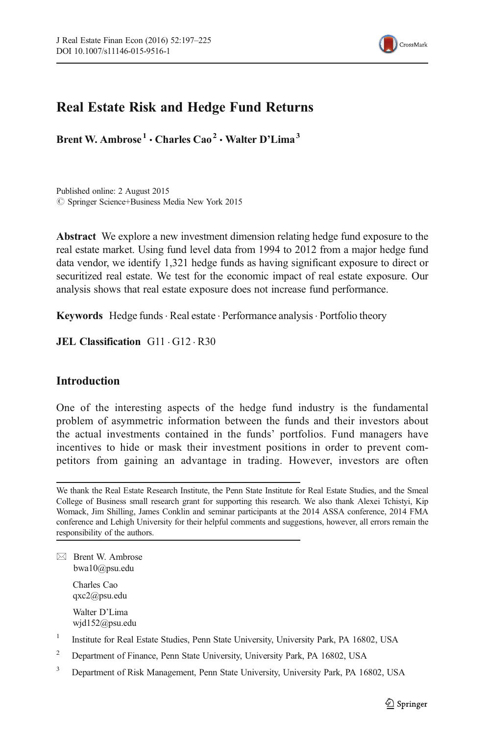

# Real Estate Risk and Hedge Fund Returns

Brent W. Ambrose<sup>1</sup> • Charles Cao<sup>2</sup> • Walter D'Lima<sup>3</sup>

Published online: 2 August 2015  $\oslash$  Springer Science+Business Media New York 2015

Abstract We explore a new investment dimension relating hedge fund exposure to the real estate market. Using fund level data from 1994 to 2012 from a major hedge fund data vendor, we identify 1,321 hedge funds as having significant exposure to direct or securitized real estate. We test for the economic impact of real estate exposure. Our analysis shows that real estate exposure does not increase fund performance.

**Keywords** Hedge funds  $\cdot$  Real estate  $\cdot$  Performance analysis  $\cdot$  Portfolio theory

JEL Classification G11 . G12 . R30

# Introduction

One of the interesting aspects of the hedge fund industry is the fundamental problem of asymmetric information between the funds and their investors about the actual investments contained in the funds' portfolios. Fund managers have incentives to hide or mask their investment positions in order to prevent competitors from gaining an advantage in trading. However, investors are often

 $\boxtimes$  Brent W. Ambrose bwa10@psu.edu

> Charles Cao qxc2@psu.edu

Walter D'Lima wjd152@psu.edu

- <sup>1</sup> Institute for Real Estate Studies, Penn State University, University Park, PA 16802, USA
- <sup>2</sup> Department of Finance, Penn State University, University Park, PA 16802, USA
- <sup>3</sup> Department of Risk Management, Penn State University, University Park, PA 16802, USA

We thank the Real Estate Research Institute, the Penn State Institute for Real Estate Studies, and the Smeal College of Business small research grant for supporting this research. We also thank Alexei Tchistyi, Kip Womack, Jim Shilling, James Conklin and seminar participants at the 2014 ASSA conference, 2014 FMA conference and Lehigh University for their helpful comments and suggestions, however, all errors remain the responsibility of the authors.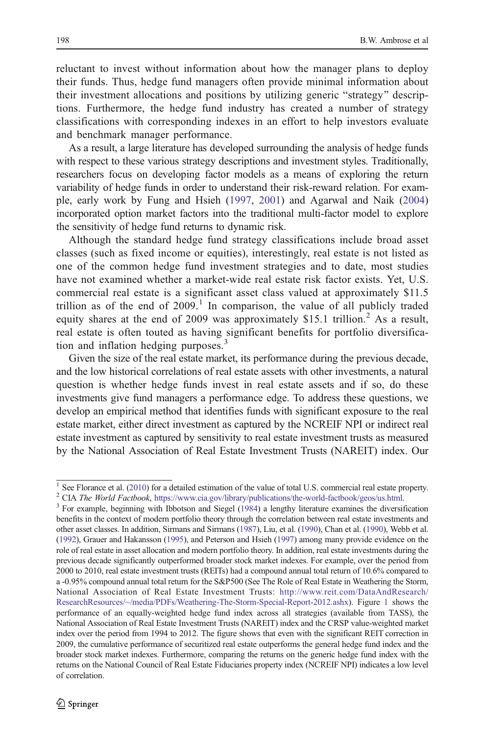reluctant to invest without information about how the manager plans to deploy their funds. Thus, hedge fund managers often provide minimal information about their investment allocations and positions by utilizing generic "strategy" descriptions. Furthermore, the hedge fund industry has created a number of strategy classifications with corresponding indexes in an effort to help investors evaluate and benchmark manager performance.

As a result, a large literature has developed surrounding the analysis of hedge funds with respect to these various strategy descriptions and investment styles. Traditionally, researchers focus on developing factor models as a means of exploring the return variability of hedge funds in order to understand their risk-reward relation. For example, early work by Fung and Hsieh ([1997,](#page-28-0) [2001\)](#page-28-0) and Agarwal and Naik [\(2004](#page-28-0)) incorporated option market factors into the traditional multi-factor model to explore the sensitivity of hedge fund returns to dynamic risk.

Although the standard hedge fund strategy classifications include broad asset classes (such as fixed income or equities), interestingly, real estate is not listed as one of the common hedge fund investment strategies and to date, most studies have not examined whether a market-wide real estate risk factor exists. Yet, U.S. commercial real estate is a significant asset class valued at approximately \$11.5 trillion as of the end of  $2009$ .<sup>1</sup> In comparison, the value of all publicly traded equity shares at the end of 2009 was approximately \$15.1 trillion.<sup>2</sup> As a result, real estate is often touted as having significant benefits for portfolio diversification and inflation hedging purposes. $3$ 

Given the size of the real estate market, its performance during the previous decade, and the low historical correlations of real estate assets with other investments, a natural question is whether hedge funds invest in real estate assets and if so, do these investments give fund managers a performance edge. To address these questions, we develop an empirical method that identifies funds with significant exposure to the real estate market, either direct investment as captured by the NCREIF NPI or indirect real estate investment as captured by sensitivity to real estate investment trusts as measured by the National Association of Real Estate Investment Trusts (NAREIT) index. Our

 $\frac{1}{1}$  See Florance et al. [\(2010\)](#page-28-0) for a detailed estimation of the value of total U.S. commercial real estate property.<br><sup>2</sup> CIA *The World Factbook*, https://www.cia.gov/library/publications/the-world-factbook/geos/us.

benefits in the context of modern portfolio theory through the correlation between real estate investments and other asset classes. In addition, Sirmans and Sirmans [\(1987\)](#page-28-0), Liu, et al. ([1990](#page-28-0)), Chan et al. ([1990](#page-28-0)), Webb et al. ([1992\)](#page-28-0), Grauer and Hakansson [\(1995](#page-28-0)), and Peterson and Hsieh [\(1997](#page-28-0)) among many provide evidence on the role of real estate in asset allocation and modern portfolio theory. In addition, real estate investments during the previous decade significantly outperformed broader stock market indexes. For example, over the period from 2000 to 2010, real estate investment trusts (REITs) had a compound annual total return of 10.6% compared to a -0.95% compound annual total return for the S&P500 (See The Role of Real Estate in Weathering the Storm, National Association of Real Estate Investment Trusts: [http://www.reit.com/DataAndResearch/](http://www.reit.com/DataAndResearch/ResearchResources/%7E/media/PDFs/Weathering-The-Storm-Special-Report-2012.ashx) [ResearchResources/~/media/PDFs/Weathering-The-Storm-Special-Report-2012.ashx\)](http://www.reit.com/DataAndResearch/ResearchResources/%7E/media/PDFs/Weathering-The-Storm-Special-Report-2012.ashx). Figure [1](#page-2-0) shows the performance of an equally-weighted hedge fund index across all strategies (available from TASS), the National Association of Real Estate Investment Trusts (NAREIT) index and the CRSP value-weighted market index over the period from 1994 to 2012. The figure shows that even with the significant REIT correction in 2009, the cumulative performance of securitized real estate outperforms the general hedge fund index and the broader stock market indexes. Furthermore, comparing the returns on the generic hedge fund index with the returns on the National Council of Real Estate Fiduciaries property index (NCREIF NPI) indicates a low level of correlation.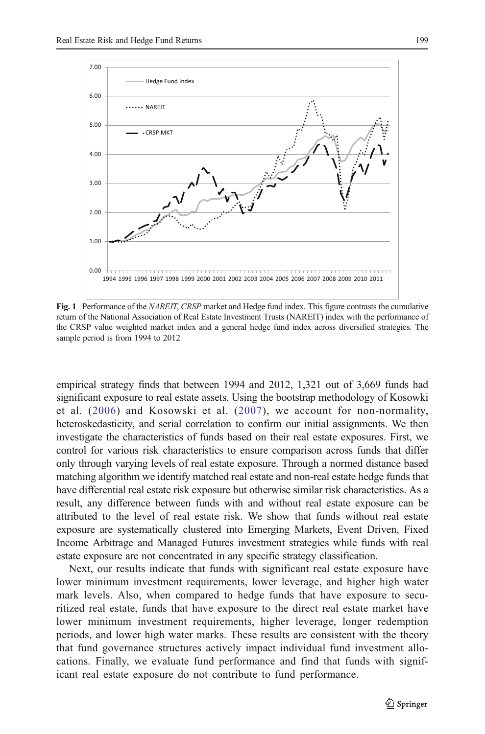<span id="page-2-0"></span>

Fig. 1 Performance of the NAREIT, CRSP market and Hedge fund index. This figure contrasts the cumulative return of the National Association of Real Estate Investment Trusts (NAREIT) index with the performance of the CRSP value weighted market index and a general hedge fund index across diversified strategies. The sample period is from 1994 to 2012

empirical strategy finds that between 1994 and 2012, 1,321 out of 3,669 funds had significant exposure to real estate assets. Using the bootstrap methodology of Kosowki et al. ([2006\)](#page-28-0) and Kosowski et al. ([2007\)](#page-28-0), we account for non-normality, heteroskedasticity, and serial correlation to confirm our initial assignments. We then investigate the characteristics of funds based on their real estate exposures. First, we control for various risk characteristics to ensure comparison across funds that differ only through varying levels of real estate exposure. Through a normed distance based matching algorithm we identify matched real estate and non-real estate hedge funds that have differential real estate risk exposure but otherwise similar risk characteristics. As a result, any difference between funds with and without real estate exposure can be attributed to the level of real estate risk. We show that funds without real estate exposure are systematically clustered into Emerging Markets, Event Driven, Fixed Income Arbitrage and Managed Futures investment strategies while funds with real estate exposure are not concentrated in any specific strategy classification.

Next, our results indicate that funds with significant real estate exposure have lower minimum investment requirements, lower leverage, and higher high water mark levels. Also, when compared to hedge funds that have exposure to securitized real estate, funds that have exposure to the direct real estate market have lower minimum investment requirements, higher leverage, longer redemption periods, and lower high water marks. These results are consistent with the theory that fund governance structures actively impact individual fund investment allocations. Finally, we evaluate fund performance and find that funds with significant real estate exposure do not contribute to fund performance.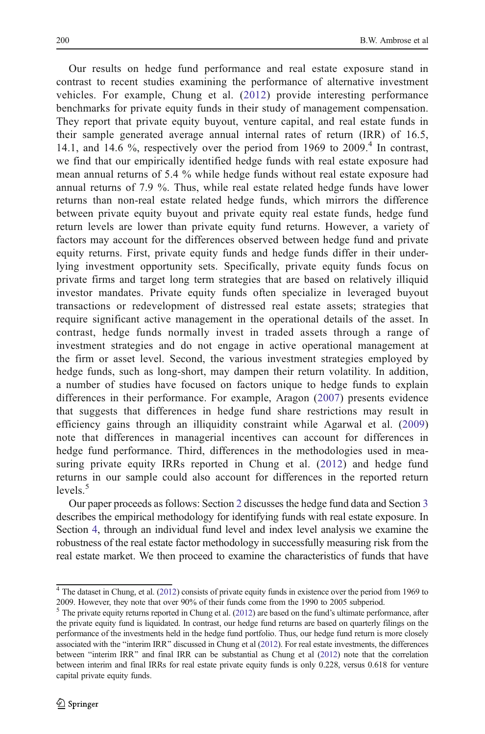Our results on hedge fund performance and real estate exposure stand in contrast to recent studies examining the performance of alternative investment vehicles. For example, Chung et al. ([2012\)](#page-28-0) provide interesting performance benchmarks for private equity funds in their study of management compensation. They report that private equity buyout, venture capital, and real estate funds in their sample generated average annual internal rates of return (IRR) of 16.5, 14.1, and 14.6 %, respectively over the period from 1969 to  $2009<sup>4</sup>$ . In contrast, we find that our empirically identified hedge funds with real estate exposure had mean annual returns of 5.4 % while hedge funds without real estate exposure had annual returns of 7.9 %. Thus, while real estate related hedge funds have lower returns than non-real estate related hedge funds, which mirrors the difference between private equity buyout and private equity real estate funds, hedge fund return levels are lower than private equity fund returns. However, a variety of factors may account for the differences observed between hedge fund and private equity returns. First, private equity funds and hedge funds differ in their underlying investment opportunity sets. Specifically, private equity funds focus on private firms and target long term strategies that are based on relatively illiquid investor mandates. Private equity funds often specialize in leveraged buyout transactions or redevelopment of distressed real estate assets; strategies that require significant active management in the operational details of the asset. In contrast, hedge funds normally invest in traded assets through a range of investment strategies and do not engage in active operational management at the firm or asset level. Second, the various investment strategies employed by hedge funds, such as long-short, may dampen their return volatility. In addition, a number of studies have focused on factors unique to hedge funds to explain differences in their performance. For example, Aragon ([2007](#page-28-0)) presents evidence that suggests that differences in hedge fund share restrictions may result in efficiency gains through an illiquidity constraint while Agarwal et al. ([2009](#page-28-0)) note that differences in managerial incentives can account for differences in hedge fund performance. Third, differences in the methodologies used in measuring private equity IRRs reported in Chung et al. [\(2012\)](#page-28-0) and hedge fund returns in our sample could also account for differences in the reported return  $levels.<sup>5</sup>$ 

Our paper proceeds as follows: Section [2](#page-4-0) discusses the hedge fund data and Section [3](#page-5-0) describes the empirical methodology for identifying funds with real estate exposure. In Section [4](#page-9-0), through an individual fund level and index level analysis we examine the robustness of the real estate factor methodology in successfully measuring risk from the real estate market. We then proceed to examine the characteristics of funds that have

<sup>&</sup>lt;sup>4</sup> The dataset in Chung, et al. ([2012](#page-28-0)) consists of private equity funds in existence over the period from 1969 to 2009. However, they note that over 90% of their funds come from the 1990 to 2005 subperiod.

 $<sup>5</sup>$  The private equity returns reported in Chung et al. [\(2012\)](#page-28-0) are based on the fund's ultimate performance, after</sup> the private equity fund is liquidated. In contrast, our hedge fund returns are based on quarterly filings on the performance of the investments held in the hedge fund portfolio. Thus, our hedge fund return is more closely associated with the "interim IRR" discussed in Chung et al [\(2012\)](#page-28-0). For real estate investments, the differences between "interim IRR" and final IRR can be substantial as Chung et al  $(2012)$  note that the correlation between interim and final IRRs for real estate private equity funds is only 0.228, versus 0.618 for venture capital private equity funds.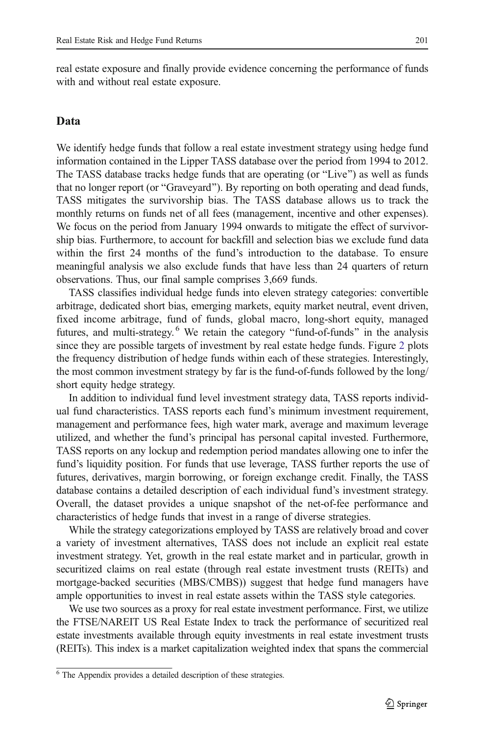<span id="page-4-0"></span>real estate exposure and finally provide evidence concerning the performance of funds with and without real estate exposure.

# Data

We identify hedge funds that follow a real estate investment strategy using hedge fund information contained in the Lipper TASS database over the period from 1994 to 2012. The TASS database tracks hedge funds that are operating (or "Live") as well as funds that no longer report (or "Graveyard"). By reporting on both operating and dead funds, TASS mitigates the survivorship bias. The TASS database allows us to track the monthly returns on funds net of all fees (management, incentive and other expenses). We focus on the period from January 1994 onwards to mitigate the effect of survivorship bias. Furthermore, to account for backfill and selection bias we exclude fund data within the first 24 months of the fund's introduction to the database. To ensure meaningful analysis we also exclude funds that have less than 24 quarters of return observations. Thus, our final sample comprises 3,669 funds.

TASS classifies individual hedge funds into eleven strategy categories: convertible arbitrage, dedicated short bias, emerging markets, equity market neutral, event driven, fixed income arbitrage, fund of funds, global macro, long-short equity, managed futures, and multi-strategy. <sup>6</sup> We retain the category "fund-of-funds" in the analysis since they are possible targets of investment by real estate hedge funds. Figure [2](#page-5-0) plots the frequency distribution of hedge funds within each of these strategies. Interestingly, the most common investment strategy by far is the fund-of-funds followed by the long/ short equity hedge strategy.

In addition to individual fund level investment strategy data, TASS reports individual fund characteristics. TASS reports each fund's minimum investment requirement, management and performance fees, high water mark, average and maximum leverage utilized, and whether the fund's principal has personal capital invested. Furthermore, TASS reports on any lockup and redemption period mandates allowing one to infer the fund's liquidity position. For funds that use leverage, TASS further reports the use of futures, derivatives, margin borrowing, or foreign exchange credit. Finally, the TASS database contains a detailed description of each individual fund's investment strategy. Overall, the dataset provides a unique snapshot of the net-of-fee performance and characteristics of hedge funds that invest in a range of diverse strategies.

While the strategy categorizations employed by TASS are relatively broad and cover a variety of investment alternatives, TASS does not include an explicit real estate investment strategy. Yet, growth in the real estate market and in particular, growth in securitized claims on real estate (through real estate investment trusts (REITs) and mortgage-backed securities (MBS/CMBS)) suggest that hedge fund managers have ample opportunities to invest in real estate assets within the TASS style categories.

We use two sources as a proxy for real estate investment performance. First, we utilize the FTSE/NAREIT US Real Estate Index to track the performance of securitized real estate investments available through equity investments in real estate investment trusts (REITs). This index is a market capitalization weighted index that spans the commercial

<sup>6</sup> The Appendix provides a detailed description of these strategies.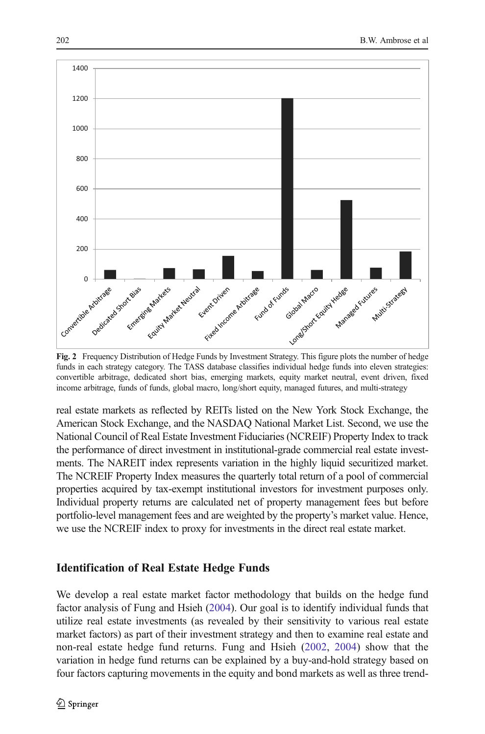<span id="page-5-0"></span>

Fig. 2 Frequency Distribution of Hedge Funds by Investment Strategy. This figure plots the number of hedge funds in each strategy category. The TASS database classifies individual hedge funds into eleven strategies: convertible arbitrage, dedicated short bias, emerging markets, equity market neutral, event driven, fixed income arbitrage, funds of funds, global macro, long/short equity, managed futures, and multi-strategy

real estate markets as reflected by REITs listed on the New York Stock Exchange, the American Stock Exchange, and the NASDAQ National Market List. Second, we use the National Council of Real Estate Investment Fiduciaries (NCREIF) Property Index to track the performance of direct investment in institutional-grade commercial real estate investments. The NAREIT index represents variation in the highly liquid securitized market. The NCREIF Property Index measures the quarterly total return of a pool of commercial properties acquired by tax-exempt institutional investors for investment purposes only. Individual property returns are calculated net of property management fees but before portfolio-level management fees and are weighted by the property's market value. Hence, we use the NCREIF index to proxy for investments in the direct real estate market.

# Identification of Real Estate Hedge Funds

We develop a real estate market factor methodology that builds on the hedge fund factor analysis of Fung and Hsieh ([2004](#page-28-0)). Our goal is to identify individual funds that utilize real estate investments (as revealed by their sensitivity to various real estate market factors) as part of their investment strategy and then to examine real estate and non-real estate hedge fund returns. Fung and Hsieh [\(2002](#page-28-0), [2004](#page-28-0)) show that the variation in hedge fund returns can be explained by a buy-and-hold strategy based on four factors capturing movements in the equity and bond markets as well as three trend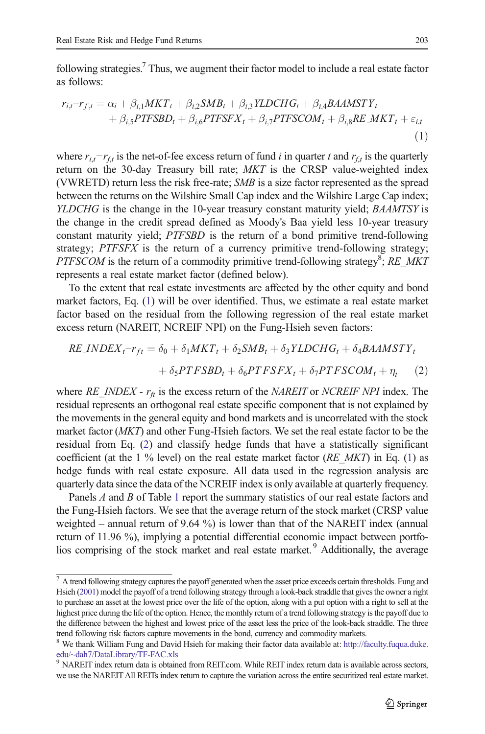<span id="page-6-0"></span>following strategies.<sup>7</sup> Thus, we augment their factor model to include a real estate factor as follows:

$$
r_{i,t} - r_{f,t} = \alpha_i + \beta_{i,1} MKT_t + \beta_{i,2} SMB_t + \beta_{i,3} YLDCHG_t + \beta_{i,4} BAAMSTY_t + \beta_{i,5} PTFSBD_t + \beta_{i,6} PTFSFX_t + \beta_{i,7} PTFSCOM_t + \beta_{i,8} RE_MKT_t + \varepsilon_{i,t}
$$
\n(1)

where  $r_{i,t} - r_{f,t}$  is the net-of-fee excess return of fund *i* in quarter t and  $r_{f,t}$  is the quarterly return on the 30-day Treasury bill rate; MKT is the CRSP value-weighted index (VWRETD) return less the risk free-rate;  $SMB$  is a size factor represented as the spread between the returns on the Wilshire Small Cap index and the Wilshire Large Cap index; YLDCHG is the change in the 10-year treasury constant maturity yield; *BAAMTSY* is the change in the credit spread defined as Moody's Baa yield less 10-year treasury constant maturity yield; PTFSBD is the return of a bond primitive trend-following strategy; PTFSFX is the return of a currency primitive trend-following strategy; PTFSCOM is the return of a commodity primitive trend-following strategy<sup>8</sup>;  $RE\_MKT$ represents a real estate market factor (defined below).

To the extent that real estate investments are affected by the other equity and bond market factors, Eq. (1) will be over identified. Thus, we estimate a real estate market factor based on the residual from the following regression of the real estate market excess return (NAREIT, NCREIF NPI) on the Fung-Hsieh seven factors:

RE<sub>1</sub>NDEX<sub>t</sub>-
$$
r_{ft} = \delta_0 + \delta_1 MKT_t + \delta_2 SMB_t + \delta_3 YLDCHG_t + \delta_4 BAAMSTY_t
$$
  
+  $\delta_5 PTFSBD_t + \delta_6 PTFSFX_t + \delta_7 PTFSCOM_t + \eta_t$  (2)

where RE INDEX -  $r_f$  is the excess return of the NAREIT or NCREIF NPI index. The residual represents an orthogonal real estate specific component that is not explained by the movements in the general equity and bond markets and is uncorrelated with the stock market factor (MKT) and other Fung-Hsieh factors. We set the real estate factor to be the residual from Eq. (2) and classify hedge funds that have a statistically significant coefficient (at the 1 % level) on the real estate market factor ( $RE$  MKT) in Eq. (1) as hedge funds with real estate exposure. All data used in the regression analysis are quarterly data since the data of the NCREIF index is only available at quarterly frequency.

Panels A and B of Table [1](#page-7-0) report the summary statistics of our real estate factors and the Fung-Hsieh factors. We see that the average return of the stock market (CRSP value weighted – annual return of 9.64 %) is lower than that of the NAREIT index (annual return of 11.96 %), implying a potential differential economic impact between portfolios comprising of the stock market and real estate market.<sup>9</sup> Additionally, the average

 $^7$  A trend following strategy captures the payoff generated when the asset price exceeds certain thresholds. Fung and Hsieh [\(2001](#page-28-0)) model the payoff of a trend following strategy through a look-back straddle that gives the owner a right to purchase an asset at the lowest price over the life of the option, along with a put option with a right to sell at the highest price during the life of the option. Hence, the monthly return of a trend following strategy is the payoff due to the difference between the highest and lowest price of the asset less the price of the look-back straddle. The three trend following risk factors capture movements in the bond, currency and commodity markets.

<sup>8</sup> We thank William Fung and David Hsieh for making their factor data available at: [http://faculty.fuqua.duke.](http://faculty.fuqua.duke.edu/%7Edah7/DataLibrary/TF-FAC.xls) [edu/~dah7/DataLibrary/TF-FAC.xls](http://faculty.fuqua.duke.edu/%7Edah7/DataLibrary/TF-FAC.xls)

<sup>&</sup>lt;sup>9</sup> NAREIT index return data is obtained from REIT.com. While REIT index return data is available across sectors, we use the NAREIT All REITs index return to capture the variation across the entire securitized real estate market.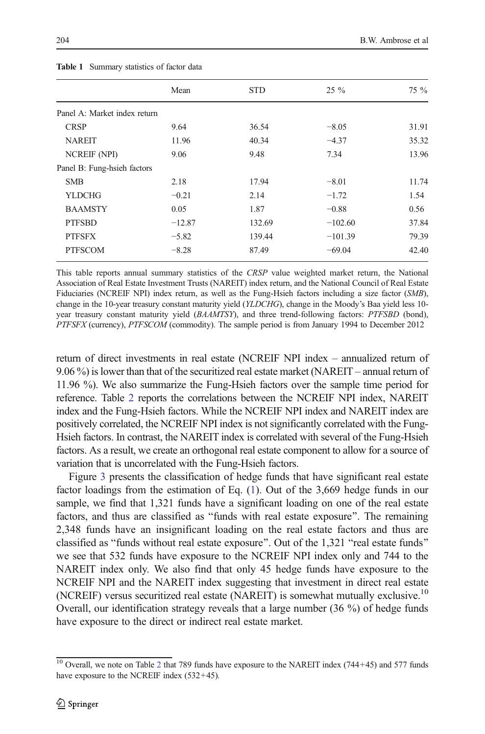|                              | Mean     | <b>STD</b> | $25\%$    | $75\%$ |
|------------------------------|----------|------------|-----------|--------|
| Panel A: Market index return |          |            |           |        |
| <b>CRSP</b>                  | 9.64     | 36.54      | $-8.05$   | 31.91  |
| <b>NAREIT</b>                | 11.96    | 40.34      | $-4.37$   | 35.32  |
| NCREIF (NPI)                 | 9.06     | 9.48       | 7.34      | 13.96  |
| Panel B: Fung-hsieh factors  |          |            |           |        |
| <b>SMB</b>                   | 2.18     | 17.94      | $-8.01$   | 11.74  |
| <b>YLDCHG</b>                | $-0.21$  | 2.14       | $-1.72$   | 1.54   |
| <b>BAAMSTY</b>               | 0.05     | 1.87       | $-0.88$   | 0.56   |
| <b>PTFSBD</b>                | $-12.87$ | 132.69     | $-102.60$ | 37.84  |
| <b>PTFSFX</b>                | $-5.82$  | 139.44     | $-101.39$ | 79.39  |
| <b>PTFSCOM</b>               | $-8.28$  | 87.49      | $-69.04$  | 42.40  |

<span id="page-7-0"></span>Table 1 Summary statistics of factor data

This table reports annual summary statistics of the CRSP value weighted market return, the National Association of Real Estate Investment Trusts (NAREIT) index return, and the National Council of Real Estate Fiduciaries (NCREIF NPI) index return, as well as the Fung-Hsieh factors including a size factor (SMB), change in the 10-year treasury constant maturity yield (YLDCHG), change in the Moody's Baa yield less 10year treasury constant maturity yield (BAAMTSY), and three trend-following factors: PTFSBD (bond), PTFSFX (currency), PTFSCOM (commodity). The sample period is from January 1994 to December 2012

return of direct investments in real estate (NCREIF NPI index – annualized return of 9.06 %) is lower than that of the securitized real estate market (NAREIT – annual return of 11.96 %). We also summarize the Fung-Hsieh factors over the sample time period for reference. Table [2](#page-8-0) reports the correlations between the NCREIF NPI index, NAREIT index and the Fung-Hsieh factors. While the NCREIF NPI index and NAREIT index are positively correlated, the NCREIF NPI index is not significantly correlated with the Fung-Hsieh factors. In contrast, the NAREIT index is correlated with several of the Fung-Hsieh factors. As a result, we create an orthogonal real estate component to allow for a source of variation that is uncorrelated with the Fung-Hsieh factors.

Figure [3](#page-9-0) presents the classification of hedge funds that have significant real estate factor loadings from the estimation of Eq. ([1\)](#page-6-0). Out of the 3,669 hedge funds in our sample, we find that 1,321 funds have a significant loading on one of the real estate factors, and thus are classified as "funds with real estate exposure". The remaining 2,348 funds have an insignificant loading on the real estate factors and thus are classified as "funds without real estate exposure". Out of the 1,321 "real estate funds" we see that 532 funds have exposure to the NCREIF NPI index only and 744 to the NAREIT index only. We also find that only 45 hedge funds have exposure to the NCREIF NPI and the NAREIT index suggesting that investment in direct real estate (NCREIF) versus securitized real estate (NAREIT) is somewhat mutually exclusive.<sup>10</sup> Overall, our identification strategy reveals that a large number (36 %) of hedge funds have exposure to the direct or indirect real estate market.

<sup>&</sup>lt;sup>10</sup> Overall, we note on Table [2](#page-8-0) that 789 funds have exposure to the NAREIT index (744+45) and 577 funds have exposure to the NCREIF index (532+45).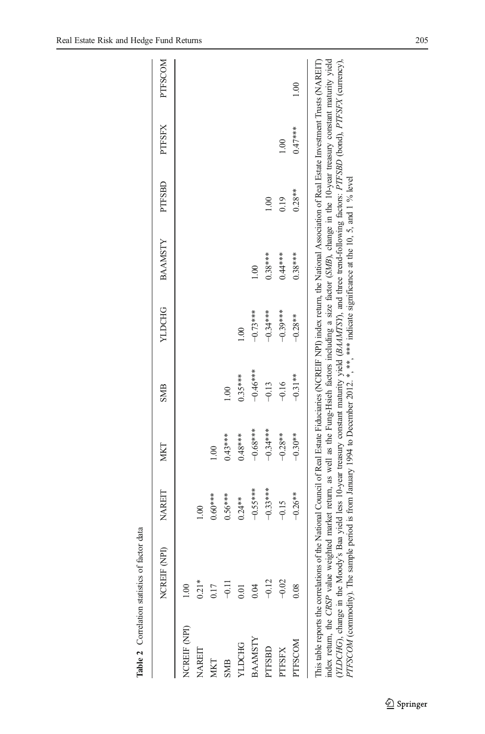<span id="page-8-0"></span>

|                                                                   | NCREIF (NPI)                                                                                                                                                                                                                                                                                                                                                         | NAREIT         | MKT            | <b>SMB</b> | <b>YLDCHG</b>  | <b>BAAMSTY</b>                                                                                                                                                                                                                                          | PTFSBD   | <b>PTFSFX</b> | <b>PTFSCOM</b> |
|-------------------------------------------------------------------|----------------------------------------------------------------------------------------------------------------------------------------------------------------------------------------------------------------------------------------------------------------------------------------------------------------------------------------------------------------------|----------------|----------------|------------|----------------|---------------------------------------------------------------------------------------------------------------------------------------------------------------------------------------------------------------------------------------------------------|----------|---------------|----------------|
| NCREIF (NPI)                                                      |                                                                                                                                                                                                                                                                                                                                                                      |                |                |            |                |                                                                                                                                                                                                                                                         |          |               |                |
| <b>NAREIT</b>                                                     | $0.21*$                                                                                                                                                                                                                                                                                                                                                              | $\frac{8}{10}$ |                |            |                |                                                                                                                                                                                                                                                         |          |               |                |
| <b>MKT</b>                                                        | 0.17                                                                                                                                                                                                                                                                                                                                                                 | $0.60***$      | $\frac{8}{10}$ |            |                |                                                                                                                                                                                                                                                         |          |               |                |
| <b>SMB</b>                                                        |                                                                                                                                                                                                                                                                                                                                                                      | $0.56***$      | $0.43***$      | 001        |                |                                                                                                                                                                                                                                                         |          |               |                |
| YLDCHG                                                            |                                                                                                                                                                                                                                                                                                                                                                      | $0.24***$      | $0.48***$      | $0.35***$  | $\frac{8}{10}$ |                                                                                                                                                                                                                                                         |          |               |                |
| BAAMSTY                                                           | 0.04                                                                                                                                                                                                                                                                                                                                                                 | $-0.55***$     | $-0.68***$     | $-0.46***$ | $-0.73***$     | 001                                                                                                                                                                                                                                                     |          |               |                |
| PTFSBD                                                            | $-0.12$                                                                                                                                                                                                                                                                                                                                                              | $-0.33***$     | $-0.34***$     | $-0.13$    | $-0.34***$     | $0.38***$                                                                                                                                                                                                                                               | 00.1     |               |                |
| PTFSFX                                                            | $-0.02$                                                                                                                                                                                                                                                                                                                                                              | $-0.15$        | $-0.28**$      | $-0.16$    | $-0.39***$     | $0.44***$                                                                                                                                                                                                                                               | 0.19     | 00.1          |                |
| PTFSCOM                                                           | 0.08                                                                                                                                                                                                                                                                                                                                                                 | $-0.26**$      | $-0.30**$      | $-0.31**$  | $-0.28**$      | $0.38***$                                                                                                                                                                                                                                               | $0.28**$ | $0.47***$     | 1.00           |
| PTFSCOM (commodity). The sample<br>XLDCHG), change in the Moody's | index return, the CRSP value weighted market return, as well as the Fung-Hsieh factors including a size factor (SMB), change in the 10-year treasury constant maturity yield<br>This table reports the correlations of the National Council of Real Estate Fiduciaries (NCREIF NPI) index return, the National Association of Real Estate Investment Trusts (NAREIT) |                |                |            |                | Baa yield less 10-year treasury constant maturity yield (BAAMTSY), and three trend-following factors: PTFSBD (bond), PTFSFX (currency),<br>e period is from January 1994 to December 2012. *, **, *** indicate significance at the 10, 5, and 1 % level |          |               |                |

Table 2 Correlation statistics of factor data Table 2 Correlation statistics of factor data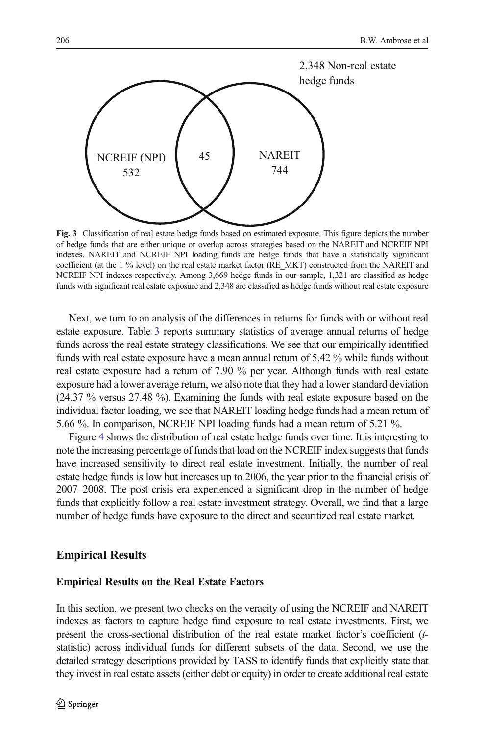<span id="page-9-0"></span>

Fig. 3 Classification of real estate hedge funds based on estimated exposure. This figure depicts the number of hedge funds that are either unique or overlap across strategies based on the NAREIT and NCREIF NPI indexes. NAREIT and NCREIF NPI loading funds are hedge funds that have a statistically significant coefficient (at the 1 % level) on the real estate market factor (RE\_MKT) constructed from the NAREIT and NCREIF NPI indexes respectively. Among 3,669 hedge funds in our sample, 1,321 are classified as hedge funds with significant real estate exposure and 2,348 are classified as hedge funds without real estate exposure

Next, we turn to an analysis of the differences in returns for funds with or without real estate exposure. Table [3](#page-10-0) reports summary statistics of average annual returns of hedge funds across the real estate strategy classifications. We see that our empirically identified funds with real estate exposure have a mean annual return of 5.42 % while funds without real estate exposure had a return of 7.90 % per year. Although funds with real estate exposure had a lower average return, we also note that they had a lower standard deviation (24.37 % versus 27.48 %). Examining the funds with real estate exposure based on the individual factor loading, we see that NAREIT loading hedge funds had a mean return of 5.66 %. In comparison, NCREIF NPI loading funds had a mean return of 5.21 %.

Figure [4](#page-10-0) shows the distribution of real estate hedge funds over time. It is interesting to note the increasing percentage of funds that load on the NCREIF index suggests that funds have increased sensitivity to direct real estate investment. Initially, the number of real estate hedge funds is low but increases up to 2006, the year prior to the financial crisis of 2007–2008. The post crisis era experienced a significant drop in the number of hedge funds that explicitly follow a real estate investment strategy. Overall, we find that a large number of hedge funds have exposure to the direct and securitized real estate market.

### Empirical Results

#### Empirical Results on the Real Estate Factors

In this section, we present two checks on the veracity of using the NCREIF and NAREIT indexes as factors to capture hedge fund exposure to real estate investments. First, we present the cross-sectional distribution of the real estate market factor's coefficient (tstatistic) across individual funds for different subsets of the data. Second, we use the detailed strategy descriptions provided by TASS to identify funds that explicitly state that they invest in real estate assets (either debt or equity) in order to create additional real estate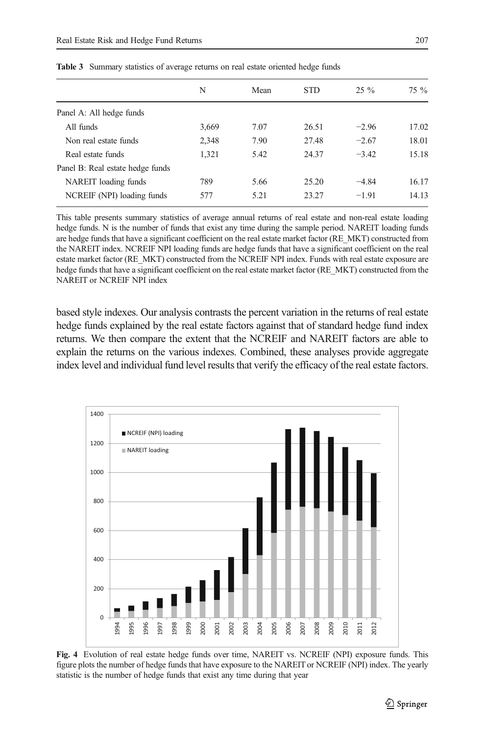|                                  | N     | Mean | <b>STD</b> | $25\%$  | $75\%$ |
|----------------------------------|-------|------|------------|---------|--------|
| Panel A: All hedge funds         |       |      |            |         |        |
| All funds                        | 3,669 | 7.07 | 26.51      | $-2.96$ | 17.02  |
| Non real estate funds            | 2,348 | 7.90 | 27.48      | $-2.67$ | 18.01  |
| Real estate funds                | 1,321 | 5.42 | 24.37      | $-3.42$ | 15.18  |
| Panel B: Real estate hedge funds |       |      |            |         |        |
| NAREIT loading funds             | 789   | 5.66 | 25.20      | $-4.84$ | 16.17  |
| NCREIF (NPI) loading funds       | 577   | 5.21 | 23.27      | $-1.91$ | 14.13  |
|                                  |       |      |            |         |        |

<span id="page-10-0"></span>Table 3 Summary statistics of average returns on real estate oriented hedge funds

This table presents summary statistics of average annual returns of real estate and non-real estate loading hedge funds. N is the number of funds that exist any time during the sample period. NAREIT loading funds are hedge funds that have a significant coefficient on the real estate market factor (RE\_MKT) constructed from the NAREIT index. NCREIF NPI loading funds are hedge funds that have a significant coefficient on the real estate market factor (RE\_MKT) constructed from the NCREIF NPI index. Funds with real estate exposure are hedge funds that have a significant coefficient on the real estate market factor (RE\_MKT) constructed from the NAREIT or NCREIF NPI index

based style indexes. Our analysis contrasts the percent variation in the returns of real estate hedge funds explained by the real estate factors against that of standard hedge fund index returns. We then compare the extent that the NCREIF and NAREIT factors are able to explain the returns on the various indexes. Combined, these analyses provide aggregate index level and individual fund level results that verify the efficacy of the real estate factors.



Fig. 4 Evolution of real estate hedge funds over time, NAREIT vs. NCREIF (NPI) exposure funds. This figure plots the number of hedge funds that have exposure to the NAREIT or NCREIF (NPI) index. The yearly statistic is the number of hedge funds that exist any time during that year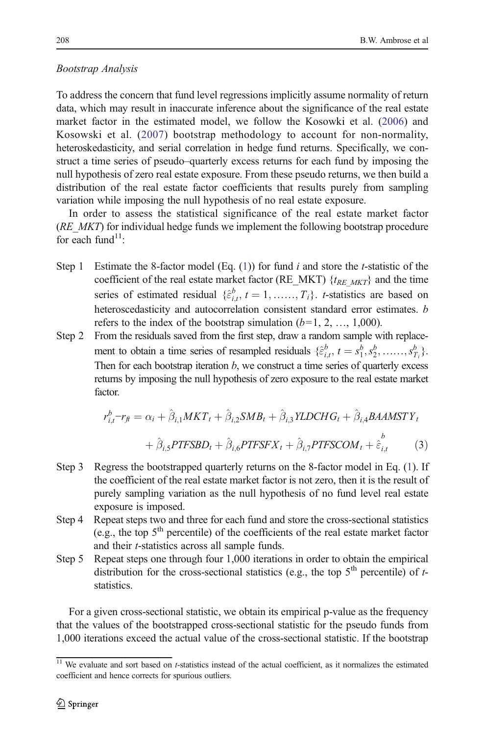### Bootstrap Analysis

To address the concern that fund level regressions implicitly assume normality of return data, which may result in inaccurate inference about the significance of the real estate market factor in the estimated model, we follow the Kosowki et al. [\(2006](#page-28-0)) and Kosowski et al. ([2007\)](#page-28-0) bootstrap methodology to account for non-normality, heteroskedasticity, and serial correlation in hedge fund returns. Specifically, we construct a time series of pseudo–quarterly excess returns for each fund by imposing the null hypothesis of zero real estate exposure. From these pseudo returns, we then build a distribution of the real estate factor coefficients that results purely from sampling variation while imposing the null hypothesis of no real estate exposure.

In order to assess the statistical significance of the real estate market factor (RE\_MKT) for individual hedge funds we implement the following bootstrap procedure for each fund<sup>11.</sup>

- Step 1 Estimate the 8-factor model (Eq. ([1\)](#page-6-0)) for fund i and store the t-statistic of the coefficient of the real estate market factor (RE\_MKT)  $\{t_{RE-MKT}\}$  and the time series of estimated residual  $\{\hat{\varepsilon}_{i,t}^b, t = 1, \dots, T_i\}$ . t-statistics are based on heteroscedasticity and autocorrelation consistent standard error estimates. *b* refers to the index of the bootstrap simulation  $(b=1, 2, ..., 1,000)$ .
- Step 2 From the residuals saved from the first step, draw a random sample with replacement to obtain a time series of resampled residuals  $\{\hat{\varepsilon}_{i,t}^b, t = s_1^b, s_2^b, \dots, s_{T_i}^b\}$ . Then for each bootstrap iteration  $b$ , we construct a time series of quarterly excess returns by imposing the null hypothesis of zero exposure to the real estate market factor.

$$
r_{i,t}^b - r_{fi} = \alpha_i + \hat{\beta}_{i,1} MKT_t + \hat{\beta}_{i,2} SMB_t + \hat{\beta}_{i,3} YLOCHG_t + \hat{\beta}_{i,4} BAAMSTY_t + \hat{\beta}_{i,5} PTFSBD_t + \hat{\beta}_{i,6} PTFSFX_t + \hat{\beta}_{i,7} PTFSCOM_t + \hat{\varepsilon}_{i,t}^b
$$
(3)

- Step 3 Regress the bootstrapped quarterly returns on the 8-factor model in Eq. ([1\)](#page-6-0). If the coefficient of the real estate market factor is not zero, then it is the result of purely sampling variation as the null hypothesis of no fund level real estate exposure is imposed.
- Step 4 Repeat steps two and three for each fund and store the cross-sectional statistics (e.g., the top  $5<sup>th</sup>$  percentile) of the coefficients of the real estate market factor and their t-statistics across all sample funds.
- Step 5 Repeat steps one through four 1,000 iterations in order to obtain the empirical distribution for the cross-sectional statistics (e.g., the top  $5<sup>th</sup>$  percentile) of tstatistics.

For a given cross-sectional statistic, we obtain its empirical p-value as the frequency that the values of the bootstrapped cross-sectional statistic for the pseudo funds from 1,000 iterations exceed the actual value of the cross-sectional statistic. If the bootstrap

<sup>&</sup>lt;sup>11</sup> We evaluate and sort based on *t*-statistics instead of the actual coefficient, as it normalizes the estimated coefficient and hence corrects for spurious outliers.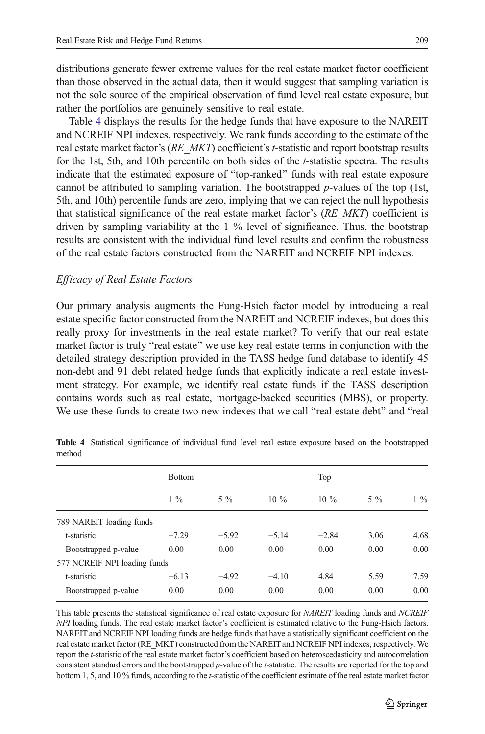distributions generate fewer extreme values for the real estate market factor coefficient than those observed in the actual data, then it would suggest that sampling variation is not the sole source of the empirical observation of fund level real estate exposure, but rather the portfolios are genuinely sensitive to real estate.

Table 4 displays the results for the hedge funds that have exposure to the NAREIT and NCREIF NPI indexes, respectively. We rank funds according to the estimate of the real estate market factor's (RE\_MKT) coefficient's t-statistic and report bootstrap results for the 1st, 5th, and 10th percentile on both sides of the *t*-statistic spectra. The results indicate that the estimated exposure of "top-ranked" funds with real estate exposure cannot be attributed to sampling variation. The bootstrapped  $p$ -values of the top (1st, 5th, and 10th) percentile funds are zero, implying that we can reject the null hypothesis that statistical significance of the real estate market factor's  $(RE<sub>1</sub> MKT)$  coefficient is driven by sampling variability at the 1 % level of significance. Thus, the bootstrap results are consistent with the individual fund level results and confirm the robustness of the real estate factors constructed from the NAREIT and NCREIF NPI indexes.

### Efficacy of Real Estate Factors

Our primary analysis augments the Fung-Hsieh factor model by introducing a real estate specific factor constructed from the NAREIT and NCREIF indexes, but does this really proxy for investments in the real estate market? To verify that our real estate market factor is truly "real estate" we use key real estate terms in conjunction with the detailed strategy description provided in the TASS hedge fund database to identify 45 non-debt and 91 debt related hedge funds that explicitly indicate a real estate investment strategy. For example, we identify real estate funds if the TASS description contains words such as real estate, mortgage-backed securities (MBS), or property. We use these funds to create two new indexes that we call "real estate debt" and "real

|                              | <b>Bottom</b> |         |         | Top     |       |       |  |
|------------------------------|---------------|---------|---------|---------|-------|-------|--|
|                              | $1\%$         | $5\%$   | $10\%$  | $10\%$  | $5\%$ | $1\%$ |  |
| 789 NAREIT loading funds     |               |         |         |         |       |       |  |
| t-statistic                  | $-7.29$       | $-5.92$ | $-5.14$ | $-2.84$ | 3.06  | 4.68  |  |
| Bootstrapped p-value         | 0.00          | 0.00    | 0.00    | 0.00    | 0.00  | 0.00  |  |
| 577 NCREIF NPI loading funds |               |         |         |         |       |       |  |
| t-statistic                  | $-6.13$       | $-4.92$ | $-4.10$ | 4.84    | 5.59  | 7.59  |  |
| Bootstrapped p-value         | 0.00          | 0.00    | 0.00    | 0.00    | 0.00  | 0.00  |  |

Table 4 Statistical significance of individual fund level real estate exposure based on the bootstrapped method

This table presents the statistical significance of real estate exposure for NAREIT loading funds and NCREIF NPI loading funds. The real estate market factor's coefficient is estimated relative to the Fung-Hsieh factors. NAREIT and NCREIF NPI loading funds are hedge funds that have a statistically significant coefficient on the real estate market factor (RE\_MKT) constructed from the NAREIT and NCREIF NPI indexes, respectively. We report the t-statistic of the real estate market factor's coefficient based on heteroscedasticity and autocorrelation consistent standard errors and the bootstrapped p-value of the t-statistic. The results are reported for the top and bottom 1, 5, and 10 % funds, according to the t-statistic of the coefficient estimate of the real estate market factor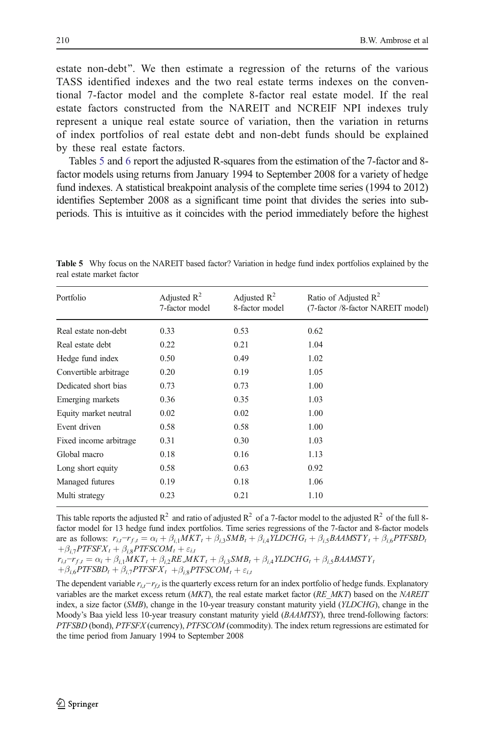<span id="page-13-0"></span>estate non-debt^. We then estimate a regression of the returns of the various TASS identified indexes and the two real estate terms indexes on the conventional 7-factor model and the complete 8-factor real estate model. If the real estate factors constructed from the NAREIT and NCREIF NPI indexes truly represent a unique real estate source of variation, then the variation in returns of index portfolios of real estate debt and non-debt funds should be explained by these real estate factors.

Tables 5 and [6](#page-14-0) report the adjusted R-squares from the estimation of the 7-factor and 8 factor models using returns from January 1994 to September 2008 for a variety of hedge fund indexes. A statistical breakpoint analysis of the complete time series (1994 to 2012) identifies September 2008 as a significant time point that divides the series into subperiods. This is intuitive as it coincides with the period immediately before the highest

| Portfolio              | Adjusted $R^2$<br>7-factor model | Adjusted $R^2$<br>8-factor model | Ratio of Adjusted $R^2$<br>(7-factor /8-factor NAREIT model) |
|------------------------|----------------------------------|----------------------------------|--------------------------------------------------------------|
| Real estate non-debt   | 0.33                             | 0.53                             | 0.62                                                         |
| Real estate debt       | 0.22                             | 0.21                             | 1.04                                                         |
| Hedge fund index       | 0.50                             | 0.49                             | 1.02                                                         |
| Convertible arbitrage  | 0.20                             | 0.19                             | 1.05                                                         |
| Dedicated short bias   | 0.73                             | 0.73                             | 1.00                                                         |
| Emerging markets       | 0.36                             | 0.35                             | 1.03                                                         |
| Equity market neutral  | 0.02                             | 0.02                             | 1.00                                                         |
| Event driven           | 0.58                             | 0.58                             | 1.00                                                         |
| Fixed income arbitrage | 0.31                             | 0.30                             | 1.03                                                         |
| Global macro           | 0.18                             | 0.16                             | 1.13                                                         |
| Long short equity      | 0.58                             | 0.63                             | 0.92                                                         |
| Managed futures        | 0.19                             | 0.18                             | 1.06                                                         |
| Multi strategy         | 0.23                             | 0.21                             | 1.10                                                         |

Table 5 Why focus on the NAREIT based factor? Variation in hedge fund index portfolios explained by the real estate market factor

This table reports the adjusted  $R^2$  and ratio of adjusted  $R^2$  of a 7-factor model to the adjusted  $R^2$  of the full 8factor model for 13 hedge fund index portfolios. Time series regressions of the 7-factor and 8-factor models are as follows:  $r_{i,t}-r_{f,t} = \alpha_i + \beta_{i,1}MKT_t + \beta_{i,3}SMB_t + \beta_{i,4}YLDCHG_t + \beta_{i,5}BAAMSTY_t + \beta_{i,6}PTFSBD_t$  $+\beta_{i7}$ PTFSF $X_t + \beta_{i8}$ PTFSCOM<sub>t</sub> +  $\varepsilon_{i,t}$ 

 $r_{i,t} - r_{f,t} = \alpha_i + \beta_{i,1} MKT_t + \beta_{i,2} RE\_MKT_t + \beta_{i,3} SMB_t + \beta_{i,4} YLDCHG_t + \beta_{i,5} BAMSTY_t$  $+\beta_{i,6}$ PTFSBD<sub>t</sub> +  $\beta_{i,7}$ PTFSFX<sub>t</sub> +  $\beta_{i,8}$ PTFSCOM<sub>t</sub> +  $\varepsilon_{i,t}$ 

The dependent variable  $r_{i,t}-r_{f,t}$  is the quarterly excess return for an index portfolio of hedge funds. Explanatory variables are the market excess return  $(MKT)$ , the real estate market factor (RE\_MKT) based on the NAREIT index, a size factor (SMB), change in the 10-year treasury constant maturity yield (YLDCHG), change in the Moody's Baa yield less 10-year treasury constant maturity yield (BAAMTSY), three trend-following factors: PTFSBD (bond), PTFSFX (currency), PTFSCOM (commodity). The index return regressions are estimated for the time period from January 1994 to September 2008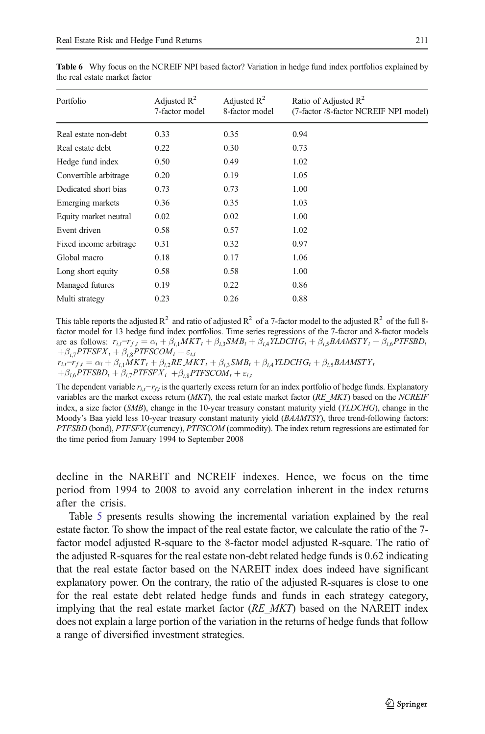| Portfolio              | Adjusted $R^2$<br>7-factor model | Adjusted $R^2$<br>8-factor model | Ratio of Adjusted R <sup>2</sup><br>(7-factor /8-factor NCREIF NPI model) |
|------------------------|----------------------------------|----------------------------------|---------------------------------------------------------------------------|
| Real estate non-debt   | 0.33                             | 0.35                             | 0.94                                                                      |
| Real estate debt       | 0.22                             | 0.30                             | 0.73                                                                      |
| Hedge fund index       | 0.50                             | 0.49                             | 1.02                                                                      |
| Convertible arbitrage  | 0.20                             | 0.19                             | 1.05                                                                      |
| Dedicated short bias   | 0.73                             | 0.73                             | 1.00                                                                      |
| Emerging markets       | 0.36                             | 0.35                             | 1.03                                                                      |
| Equity market neutral  | 0.02                             | 0.02                             | 1.00                                                                      |
| Event driven           | 0.58                             | 0.57                             | 1.02                                                                      |
| Fixed income arbitrage | 0.31                             | 0.32                             | 0.97                                                                      |
| Global macro           | 0.18                             | 0.17                             | 1.06                                                                      |
| Long short equity      | 0.58                             | 0.58                             | 1.00                                                                      |
| Managed futures        | 0.19                             | 0.22                             | 0.86                                                                      |
| Multi strategy         | 0.23                             | 0.26                             | 0.88                                                                      |

<span id="page-14-0"></span>Table 6 Why focus on the NCREIF NPI based factor? Variation in hedge fund index portfolios explained by the real estate market factor

This table reports the adjusted  $R^2$  and ratio of adjusted  $R^2$  of a 7-factor model to the adjusted  $R^2$  of the full 8factor model for 13 hedge fund index portfolios. Time series regressions of the 7-factor and 8-factor models are as follows:  $r_{i,t} - r_{f,t} = \alpha_i + \beta_{i,1} MKT_t + \beta_{i,3} SMB_t + \beta_{i,4} YLDCHG_t + \beta_{i,5} BAMSTY_t + \beta_{i,6} PTFSBD_t$  $+\beta_{i,7}$ PTFSF $X_t + \beta_{i,8}$ PTFSCOM<sub>t</sub> +  $\varepsilon_{i,t}$ 

 $r_{i,t}-r_{f,t} = \alpha_i + \beta_{i,1}MKT_t + \beta_{i,2}RE_MKT_t + \beta_{i,3}SMB_t + \beta_{i,4}YLDCHG_t + \beta_{i,5}BAAMSTY_t$  $+\beta_{i6}$ PTFSBD<sub>t</sub> +  $\beta_{i7}$ PTFSFX<sub>t</sub> +  $\beta_{i8}$ PTFSCOM<sub>t</sub> +  $\varepsilon_{i,t}$ 

The dependent variable  $r_{i,t}-r_{f,t}$  is the quarterly excess return for an index portfolio of hedge funds. Explanatory variables are the market excess return  $(MKT)$ , the real estate market factor ( $RE$ \_MKT) based on the NCREIF index, a size factor (SMB), change in the 10-year treasury constant maturity yield (YLDCHG), change in the Moody's Baa yield less 10-year treasury constant maturity yield (BAAMTSY), three trend-following factors: PTFSBD (bond), PTFSFX (currency), PTFSCOM (commodity). The index return regressions are estimated for the time period from January 1994 to September 2008

decline in the NAREIT and NCREIF indexes. Hence, we focus on the time period from 1994 to 2008 to avoid any correlation inherent in the index returns after the crisis.

Table [5](#page-13-0) presents results showing the incremental variation explained by the real estate factor. To show the impact of the real estate factor, we calculate the ratio of the 7 factor model adjusted R-square to the 8-factor model adjusted R-square. The ratio of the adjusted R-squares for the real estate non-debt related hedge funds is 0.62 indicating that the real estate factor based on the NAREIT index does indeed have significant explanatory power. On the contrary, the ratio of the adjusted R-squares is close to one for the real estate debt related hedge funds and funds in each strategy category, implying that the real estate market factor (RE\_MKT) based on the NAREIT index does not explain a large portion of the variation in the returns of hedge funds that follow a range of diversified investment strategies.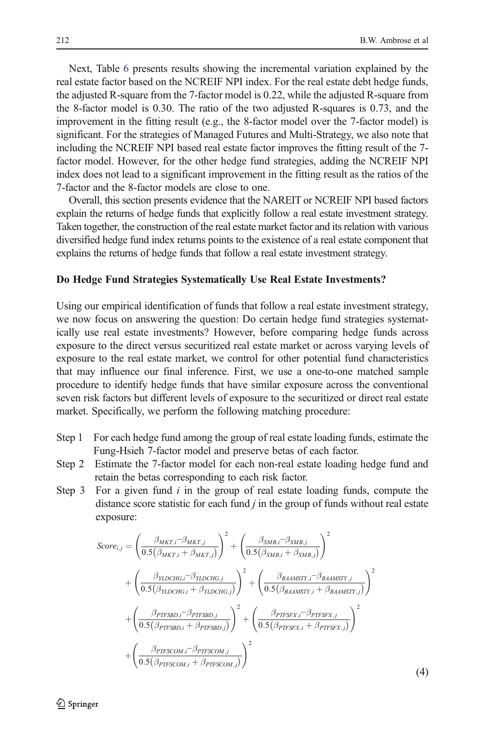Next, Table [6](#page-14-0) presents results showing the incremental variation explained by the real estate factor based on the NCREIF NPI index. For the real estate debt hedge funds, the adjusted R-square from the 7-factor model is 0.22, while the adjusted R-square from the 8-factor model is 0.30. The ratio of the two adjusted R-squares is 0.73, and the improvement in the fitting result (e.g., the 8-factor model over the 7-factor model) is significant. For the strategies of Managed Futures and Multi-Strategy, we also note that including the NCREIF NPI based real estate factor improves the fitting result of the 7 factor model. However, for the other hedge fund strategies, adding the NCREIF NPI index does not lead to a significant improvement in the fitting result as the ratios of the 7-factor and the 8-factor models are close to one.

Overall, this section presents evidence that the NAREIT or NCREIF NPI based factors explain the returns of hedge funds that explicitly follow a real estate investment strategy. Taken together, the construction of the real estate market factor and its relation with various diversified hedge fund index returns points to the existence of a real estate component that explains the returns of hedge funds that follow a real estate investment strategy.

#### Do Hedge Fund Strategies Systematically Use Real Estate Investments?

Using our empirical identification of funds that follow a real estate investment strategy, we now focus on answering the question: Do certain hedge fund strategies systematically use real estate investments? However, before comparing hedge funds across exposure to the direct versus securitized real estate market or across varying levels of exposure to the real estate market, we control for other potential fund characteristics that may influence our final inference. First, we use a one-to-one matched sample procedure to identify hedge funds that have similar exposure across the conventional seven risk factors but different levels of exposure to the securitized or direct real estate market. Specifically, we perform the following matching procedure:

- Step 1 For each hedge fund among the group of real estate loading funds, estimate the Fung-Hsieh 7-factor model and preserve betas of each factor.
- Step 2 Estimate the 7-factor model for each non-real estate loading hedge fund and retain the betas corresponding to each risk factor.
- Step 3 For a given fund  $i$  in the group of real estate loading funds, compute the distance score statistic for each fund  $j$  in the group of funds without real estate exposure:

$$
Score_{i,j} = \left(\frac{\beta_{MKT,i} - \beta_{MKT,j}}{0.5(\beta_{MKT,i} + \beta_{MKT,j})}\right)^2 + \left(\frac{\beta_{SMB,i} - \beta_{SMB,j}}{0.5(\beta_{SMB,i} + \beta_{SMB,j})}\right)^2
$$
  
+ 
$$
\left(\frac{\beta_{YLDCHG,i} - \beta_{YLDCHG,j}}{0.5(\beta_{TIDCHG,i} + \beta_{YLDCHG,j})}\right)^2 + \left(\frac{\beta_{BAMMSTY,i} - \beta_{BAMMSTY,j}}{0.5(\beta_{BAMMSTY,i} + \beta_{BAMMSTY,j})}\right)^2
$$
  
+ 
$$
\left(\frac{\beta_{PTFSPD,i} - \beta_{PTFSPD,j}}{0.5(\beta_{PTFSPD,i} + \beta_{PTFSPD,j})}\right)^2 + \left(\frac{\beta_{PTFSFX,i} - \beta_{PTFSFX,j}}{0.5(\beta_{PTFSFX,i} + \beta_{PTFSFX,j})}\right)^2
$$
  
+ 
$$
\left(\frac{\beta_{PTFSCOM,i} - \beta_{PTFSCOM,j}}{0.5(\beta_{PTFSCOM,i} + \beta_{PTFSCOM,j})}\right)^2
$$
(4)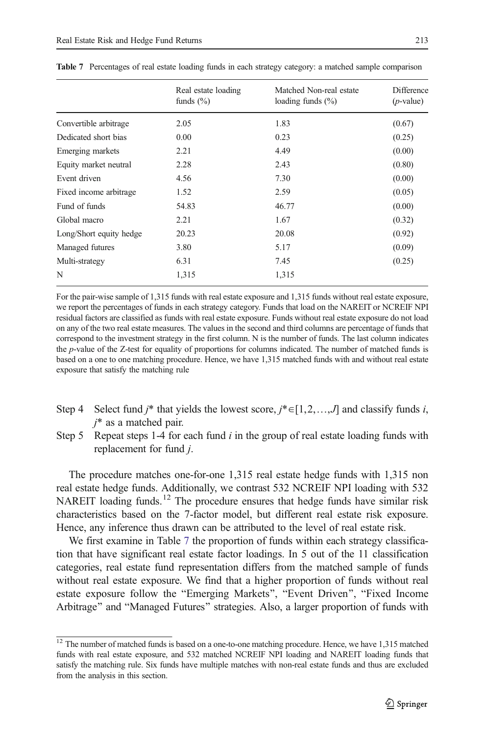|                         | Real estate loading<br>funds $(\%)$ | Matched Non-real estate<br>loading funds $(\% )$ | Difference<br>$(p$ -value) |
|-------------------------|-------------------------------------|--------------------------------------------------|----------------------------|
| Convertible arbitrage   | 2.05                                | 1.83                                             | (0.67)                     |
| Dedicated short bias    | 0.00                                | 0.23                                             | (0.25)                     |
| Emerging markets        | 2.21                                | 4.49                                             | (0.00)                     |
| Equity market neutral   | 2.28                                | 2.43                                             | (0.80)                     |
| Event driven            | 4.56                                | 7.30                                             | (0.00)                     |
| Fixed income arbitrage  | 1.52                                | 2.59                                             | (0.05)                     |
| Fund of funds           | 54.83                               | 46.77                                            | (0.00)                     |
| Global macro            | 2.21                                | 1.67                                             | (0.32)                     |
| Long/Short equity hedge | 20.23                               | 20.08                                            | (0.92)                     |
| Managed futures         | 3.80                                | 5.17                                             | (0.09)                     |
| Multi-strategy          | 6.31                                | 7.45                                             | (0.25)                     |
| N                       | 1,315                               | 1,315                                            |                            |

Table 7 Percentages of real estate loading funds in each strategy category: a matched sample comparison

For the pair-wise sample of 1,315 funds with real estate exposure and 1,315 funds without real estate exposure, we report the percentages of funds in each strategy category. Funds that load on the NAREIT or NCREIF NPI residual factors are classified as funds with real estate exposure. Funds without real estate exposure do not load on any of the two real estate measures. The values in the second and third columns are percentage of funds that correspond to the investment strategy in the first column. N is the number of funds. The last column indicates the p-value of the Z-test for equality of proportions for columns indicated. The number of matched funds is based on a one to one matching procedure. Hence, we have 1,315 matched funds with and without real estate exposure that satisfy the matching rule

- Step 4 Select fund j\* that yields the lowest score,  $j^* \in [1, 2, ..., J]$  and classify funds i,  $i^*$  as a matched pair.
- Step 5 Repeat steps 1-4 for each fund  $i$  in the group of real estate loading funds with replacement for fund j.

The procedure matches one-for-one 1,315 real estate hedge funds with 1,315 non real estate hedge funds. Additionally, we contrast 532 NCREIF NPI loading with 532 NAREIT loading funds.<sup>12</sup> The procedure ensures that hedge funds have similar risk characteristics based on the 7-factor model, but different real estate risk exposure. Hence, any inference thus drawn can be attributed to the level of real estate risk.

We first examine in Table 7 the proportion of funds within each strategy classification that have significant real estate factor loadings. In 5 out of the 11 classification categories, real estate fund representation differs from the matched sample of funds without real estate exposure. We find that a higher proportion of funds without real estate exposure follow the "Emerging Markets", "Event Driven", "Fixed Income Arbitrage" and "Managed Futures" strategies. Also, a larger proportion of funds with

<sup>&</sup>lt;sup>12</sup> The number of matched funds is based on a one-to-one matching procedure. Hence, we have 1,315 matched funds with real estate exposure, and 532 matched NCREIF NPI loading and NAREIT loading funds that satisfy the matching rule. Six funds have multiple matches with non-real estate funds and thus are excluded from the analysis in this section.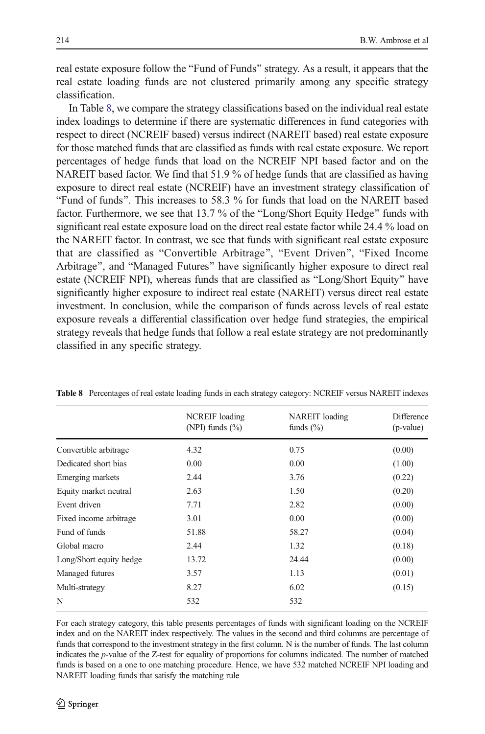real estate exposure follow the "Fund of Funds" strategy. As a result, it appears that the real estate loading funds are not clustered primarily among any specific strategy classification.

In Table 8, we compare the strategy classifications based on the individual real estate index loadings to determine if there are systematic differences in fund categories with respect to direct (NCREIF based) versus indirect (NAREIT based) real estate exposure for those matched funds that are classified as funds with real estate exposure. We report percentages of hedge funds that load on the NCREIF NPI based factor and on the NAREIT based factor. We find that 51.9 % of hedge funds that are classified as having exposure to direct real estate (NCREIF) have an investment strategy classification of "Fund of funds". This increases to 58.3 % for funds that load on the NAREIT based factor. Furthermore, we see that  $13.7\%$  of the "Long/Short Equity Hedge" funds with significant real estate exposure load on the direct real estate factor while 24.4 % load on the NAREIT factor. In contrast, we see that funds with significant real estate exposure that are classified as "Convertible Arbitrage", "Event Driven", "Fixed Income Arbitrage", and "Managed Futures" have significantly higher exposure to direct real estate (NCREIF NPI), whereas funds that are classified as "Long/Short Equity" have significantly higher exposure to indirect real estate (NAREIT) versus direct real estate investment. In conclusion, while the comparison of funds across levels of real estate exposure reveals a differential classification over hedge fund strategies, the empirical strategy reveals that hedge funds that follow a real estate strategy are not predominantly classified in any specific strategy.

|                         | <b>NCREIF</b> loading<br>(NPI) funds $(\%$ ) | NAREIT loading<br>funds $(\%)$ | Difference<br>$(p-value)$ |
|-------------------------|----------------------------------------------|--------------------------------|---------------------------|
| Convertible arbitrage   | 4.32                                         | 0.75                           | (0.00)                    |
| Dedicated short bias    | 0.00                                         | 0.00                           | (1.00)                    |
| Emerging markets        | 2.44                                         | 3.76                           | (0.22)                    |
| Equity market neutral   | 2.63                                         | 1.50                           | (0.20)                    |
| Event driven            | 7.71                                         | 2.82                           | (0.00)                    |
| Fixed income arbitrage  | 3.01                                         | 0.00                           | (0.00)                    |
| Fund of funds           | 51.88                                        | 58.27                          | (0.04)                    |
| Global macro            | 2.44                                         | 1.32                           | (0.18)                    |
| Long/Short equity hedge | 13.72                                        | 24.44                          | (0.00)                    |
| Managed futures         | 3.57                                         | 1.13                           | (0.01)                    |
| Multi-strategy          | 8.27                                         | 6.02                           | (0.15)                    |
| N                       | 532                                          | 532                            |                           |

Table 8 Percentages of real estate loading funds in each strategy category: NCREIF versus NAREIT indexes

For each strategy category, this table presents percentages of funds with significant loading on the NCREIF index and on the NAREIT index respectively. The values in the second and third columns are percentage of funds that correspond to the investment strategy in the first column. N is the number of funds. The last column indicates the p-value of the Z-test for equality of proportions for columns indicated. The number of matched funds is based on a one to one matching procedure. Hence, we have 532 matched NCREIF NPI loading and NAREIT loading funds that satisfy the matching rule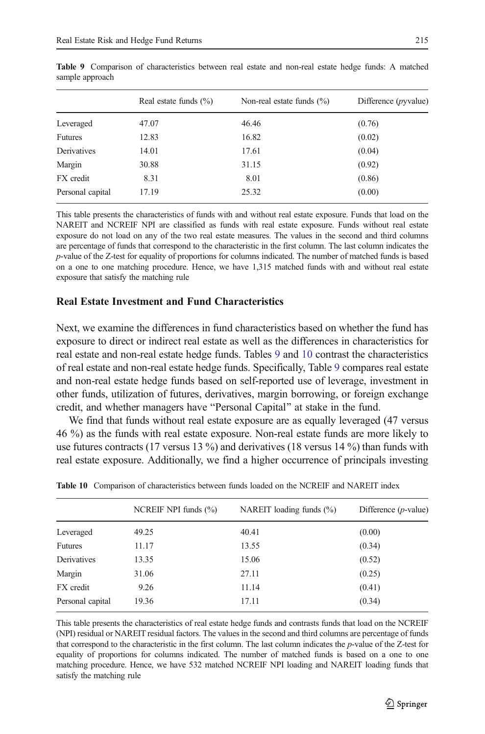|                  | Real estate funds $(\% )$ | Non-real estate funds $(\% )$ | Difference $(p$ yvalue $)$ |
|------------------|---------------------------|-------------------------------|----------------------------|
| Leveraged        | 47.07                     | 46.46                         | (0.76)                     |
| Futures          | 12.83                     | 16.82                         | (0.02)                     |
| Derivatives      | 14.01                     | 17.61                         | (0.04)                     |
| Margin           | 30.88                     | 31.15                         | (0.92)                     |
| FX credit        | 8.31                      | 8.01                          | (0.86)                     |
| Personal capital | 17.19                     | 25.32                         | (0.00)                     |

<span id="page-18-0"></span>Table 9 Comparison of characteristics between real estate and non-real estate hedge funds: A matched sample approach

This table presents the characteristics of funds with and without real estate exposure. Funds that load on the NAREIT and NCREIF NPI are classified as funds with real estate exposure. Funds without real estate exposure do not load on any of the two real estate measures. The values in the second and third columns are percentage of funds that correspond to the characteristic in the first column. The last column indicates the p-value of the Z-test for equality of proportions for columns indicated. The number of matched funds is based on a one to one matching procedure. Hence, we have 1,315 matched funds with and without real estate exposure that satisfy the matching rule

# Real Estate Investment and Fund Characteristics

Next, we examine the differences in fund characteristics based on whether the fund has exposure to direct or indirect real estate as well as the differences in characteristics for real estate and non-real estate hedge funds. Tables 9 and 10 contrast the characteristics of real estate and non-real estate hedge funds. Specifically, Table 9 compares real estate and non-real estate hedge funds based on self-reported use of leverage, investment in other funds, utilization of futures, derivatives, margin borrowing, or foreign exchange credit, and whether managers have "Personal Capital" at stake in the fund.

We find that funds without real estate exposure are as equally leveraged (47 versus 46 %) as the funds with real estate exposure. Non-real estate funds are more likely to use futures contracts (17 versus 13 %) and derivatives (18 versus 14 %) than funds with real estate exposure. Additionally, we find a higher occurrence of principals investing

|                  | NCREIF NPI funds $(\% )$ | NAREIT loading funds $(\% )$ | Difference $(p$ -value) |
|------------------|--------------------------|------------------------------|-------------------------|
| Leveraged        | 49.25                    | 40.41                        | (0.00)                  |
| Futures          | 11.17                    | 13.55                        | (0.34)                  |
| Derivatives      | 13.35                    | 15.06                        | (0.52)                  |
| Margin           | 31.06                    | 27.11                        | (0.25)                  |
| FX credit        | 9.26                     | 11.14                        | (0.41)                  |
| Personal capital | 19.36                    | 17.11                        | (0.34)                  |
|                  |                          |                              |                         |

Table 10 Comparison of characteristics between funds loaded on the NCREIF and NAREIT index

This table presents the characteristics of real estate hedge funds and contrasts funds that load on the NCREIF (NPI) residual or NAREIT residual factors. The values in the second and third columns are percentage of funds that correspond to the characteristic in the first column. The last column indicates the p-value of the Z-test for equality of proportions for columns indicated. The number of matched funds is based on a one to one matching procedure. Hence, we have 532 matched NCREIF NPI loading and NAREIT loading funds that satisfy the matching rule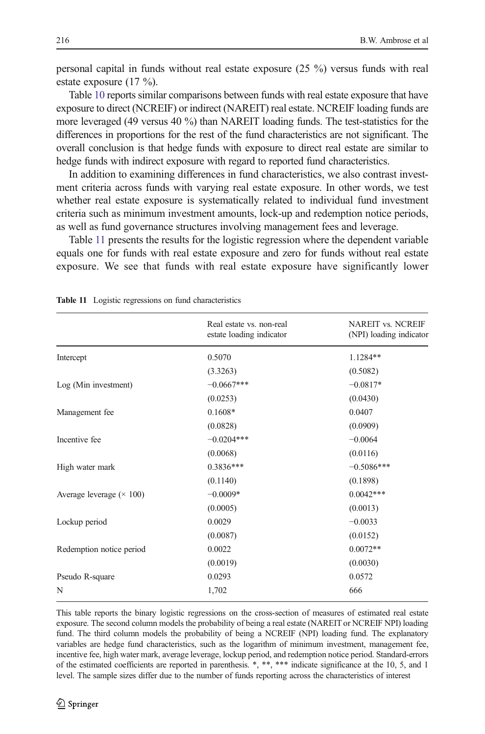personal capital in funds without real estate exposure (25 %) versus funds with real estate exposure (17 %).

Table [10](#page-18-0) reports similar comparisons between funds with real estate exposure that have exposure to direct (NCREIF) or indirect (NAREIT) real estate. NCREIF loading funds are more leveraged (49 versus 40 %) than NAREIT loading funds. The test-statistics for the differences in proportions for the rest of the fund characteristics are not significant. The overall conclusion is that hedge funds with exposure to direct real estate are similar to hedge funds with indirect exposure with regard to reported fund characteristics.

In addition to examining differences in fund characteristics, we also contrast investment criteria across funds with varying real estate exposure. In other words, we test whether real estate exposure is systematically related to individual fund investment criteria such as minimum investment amounts, lock-up and redemption notice periods, as well as fund governance structures involving management fees and leverage.

Table 11 presents the results for the logistic regression where the dependent variable equals one for funds with real estate exposure and zero for funds without real estate exposure. We see that funds with real estate exposure have significantly lower

|                                 | Real estate vs. non-real<br>estate loading indicator | <b>NAREIT vs. NCREIF</b><br>(NPI) loading indicator |
|---------------------------------|------------------------------------------------------|-----------------------------------------------------|
| Intercept                       | 0.5070                                               | 1.1284**                                            |
|                                 | (3.3263)                                             | (0.5082)                                            |
| Log (Min investment)            | $-0.0667***$                                         | $-0.0817*$                                          |
|                                 | (0.0253)                                             | (0.0430)                                            |
| Management fee                  | $0.1608*$                                            | 0.0407                                              |
|                                 | (0.0828)                                             | (0.0909)                                            |
| Incentive fee                   | $-0.0204***$                                         | $-0.0064$                                           |
|                                 | (0.0068)                                             | (0.0116)                                            |
| High water mark                 | $0.3836***$                                          | $-0.5086***$                                        |
|                                 | (0.1140)                                             | (0.1898)                                            |
| Average leverage $(\times 100)$ | $-0.0009*$                                           | $0.0042***$                                         |
|                                 | (0.0005)                                             | (0.0013)                                            |
| Lockup period                   | 0.0029                                               | $-0.0033$                                           |
|                                 | (0.0087)                                             | (0.0152)                                            |
| Redemption notice period        | 0.0022                                               | $0.0072**$                                          |
|                                 | (0.0019)                                             | (0.0030)                                            |
| Pseudo R-square                 | 0.0293                                               | 0.0572                                              |
| N                               | 1,702                                                | 666                                                 |
|                                 |                                                      |                                                     |

|  |  |  |  |  | <b>Table 11</b> Logistic regressions on fund characteristics |
|--|--|--|--|--|--------------------------------------------------------------|
|--|--|--|--|--|--------------------------------------------------------------|

This table reports the binary logistic regressions on the cross-section of measures of estimated real estate exposure. The second column models the probability of being a real estate (NAREIT or NCREIF NPI) loading fund. The third column models the probability of being a NCREIF (NPI) loading fund. The explanatory variables are hedge fund characteristics, such as the logarithm of minimum investment, management fee, incentive fee, high water mark, average leverage, lockup period, and redemption notice period. Standard-errors of the estimated coefficients are reported in parenthesis. \*, \*\*, \*\*\* indicate significance at the 10, 5, and 1 level. The sample sizes differ due to the number of funds reporting across the characteristics of interest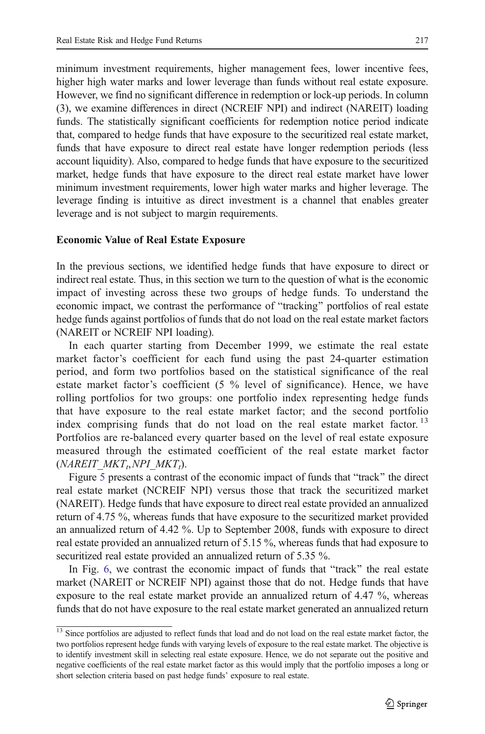minimum investment requirements, higher management fees, lower incentive fees, higher high water marks and lower leverage than funds without real estate exposure. However, we find no significant difference in redemption or lock-up periods. In column (3), we examine differences in direct (NCREIF NPI) and indirect (NAREIT) loading funds. The statistically significant coefficients for redemption notice period indicate that, compared to hedge funds that have exposure to the securitized real estate market, funds that have exposure to direct real estate have longer redemption periods (less account liquidity). Also, compared to hedge funds that have exposure to the securitized market, hedge funds that have exposure to the direct real estate market have lower minimum investment requirements, lower high water marks and higher leverage. The leverage finding is intuitive as direct investment is a channel that enables greater leverage and is not subject to margin requirements.

#### Economic Value of Real Estate Exposure

In the previous sections, we identified hedge funds that have exposure to direct or indirect real estate. Thus, in this section we turn to the question of what is the economic impact of investing across these two groups of hedge funds. To understand the economic impact, we contrast the performance of "tracking" portfolios of real estate hedge funds against portfolios of funds that do not load on the real estate market factors (NAREIT or NCREIF NPI loading).

In each quarter starting from December 1999, we estimate the real estate market factor's coefficient for each fund using the past 24-quarter estimation period, and form two portfolios based on the statistical significance of the real estate market factor's coefficient (5 % level of significance). Hence, we have rolling portfolios for two groups: one portfolio index representing hedge funds that have exposure to the real estate market factor; and the second portfolio index comprising funds that do not load on the real estate market factor.<sup>13</sup> Portfolios are re-balanced every quarter based on the level of real estate exposure measured through the estimated coefficient of the real estate market factor  $(NAREIT MKT<sub>t</sub>,NPI MKT<sub>t</sub>).$ 

Figure [5](#page-21-0) presents a contrast of the economic impact of funds that "track" the direct real estate market (NCREIF NPI) versus those that track the securitized market (NAREIT). Hedge funds that have exposure to direct real estate provided an annualized return of 4.75 %, whereas funds that have exposure to the securitized market provided an annualized return of 4.42 %. Up to September 2008, funds with exposure to direct real estate provided an annualized return of 5.15 %, whereas funds that had exposure to securitized real estate provided an annualized return of 5.35 %.

In Fig.  $6$ , we contrast the economic impact of funds that "track" the real estate market (NAREIT or NCREIF NPI) against those that do not. Hedge funds that have exposure to the real estate market provide an annualized return of 4.47 %, whereas funds that do not have exposure to the real estate market generated an annualized return

<sup>&</sup>lt;sup>13</sup> Since portfolios are adjusted to reflect funds that load and do not load on the real estate market factor, the two portfolios represent hedge funds with varying levels of exposure to the real estate market. The objective is to identify investment skill in selecting real estate exposure. Hence, we do not separate out the positive and negative coefficients of the real estate market factor as this would imply that the portfolio imposes a long or short selection criteria based on past hedge funds' exposure to real estate.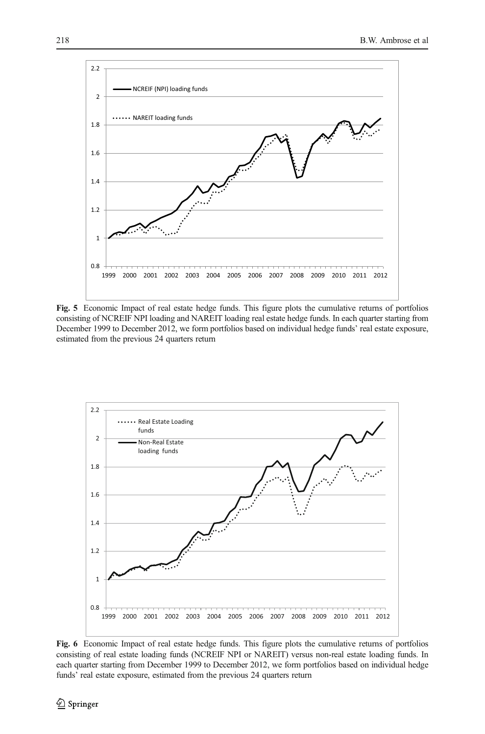<span id="page-21-0"></span>

Fig. 5 Economic Impact of real estate hedge funds. This figure plots the cumulative returns of portfolios consisting of NCREIF NPI loading and NAREIT loading real estate hedge funds. In each quarter starting from December 1999 to December 2012, we form portfolios based on individual hedge funds' real estate exposure, estimated from the previous 24 quarters return



Fig. 6 Economic Impact of real estate hedge funds. This figure plots the cumulative returns of portfolios consisting of real estate loading funds (NCREIF NPI or NAREIT) versus non-real estate loading funds. In each quarter starting from December 1999 to December 2012, we form portfolios based on individual hedge funds' real estate exposure, estimated from the previous 24 quarters return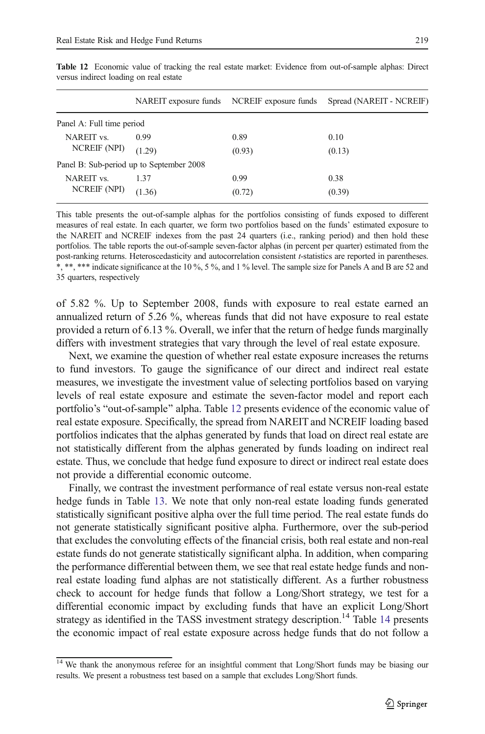|                            |                                          | NAREIT exposure funds NCREIF exposure funds | Spread (NAREIT - NCREIF) |
|----------------------------|------------------------------------------|---------------------------------------------|--------------------------|
| Panel A: Full time period  |                                          |                                             |                          |
| NAREIT vs.<br>NCREIF (NPI) | 0.99                                     | 0.89                                        | 0.10                     |
|                            | (1.29)                                   | (0.93)                                      | (0.13)                   |
|                            | Panel B: Sub-period up to September 2008 |                                             |                          |
| NAREIT vs.<br>NCREIF (NPI) | 1.37                                     | 0.99                                        | 0.38                     |
|                            | (1.36)                                   | (0.72)                                      | (0.39)                   |
|                            |                                          |                                             |                          |

Table 12 Economic value of tracking the real estate market: Evidence from out-of-sample alphas: Direct versus indirect loading on real estate

This table presents the out-of-sample alphas for the portfolios consisting of funds exposed to different measures of real estate. In each quarter, we form two portfolios based on the funds' estimated exposure to the NAREIT and NCREIF indexes from the past 24 quarters (i.e., ranking period) and then hold these portfolios. The table reports the out-of-sample seven-factor alphas (in percent per quarter) estimated from the post-ranking returns. Heteroscedasticity and autocorrelation consistent *t*-statistics are reported in parentheses. \*, \*\*, \*\*\* indicate significance at the 10 %, 5 %, and 1 % level. The sample size for Panels A and B are 52 and 35 quarters, respectively

of 5.82 %. Up to September 2008, funds with exposure to real estate earned an annualized return of 5.26 %, whereas funds that did not have exposure to real estate provided a return of 6.13 %. Overall, we infer that the return of hedge funds marginally differs with investment strategies that vary through the level of real estate exposure.

Next, we examine the question of whether real estate exposure increases the returns to fund investors. To gauge the significance of our direct and indirect real estate measures, we investigate the investment value of selecting portfolios based on varying levels of real estate exposure and estimate the seven-factor model and report each portfolio's "out-of-sample" alpha. Table 12 presents evidence of the economic value of real estate exposure. Specifically, the spread from NAREIT and NCREIF loading based portfolios indicates that the alphas generated by funds that load on direct real estate are not statistically different from the alphas generated by funds loading on indirect real estate. Thus, we conclude that hedge fund exposure to direct or indirect real estate does not provide a differential economic outcome.

Finally, we contrast the investment performance of real estate versus non-real estate hedge funds in Table [13](#page-23-0). We note that only non-real estate loading funds generated statistically significant positive alpha over the full time period. The real estate funds do not generate statistically significant positive alpha. Furthermore, over the sub-period that excludes the convoluting effects of the financial crisis, both real estate and non-real estate funds do not generate statistically significant alpha. In addition, when comparing the performance differential between them, we see that real estate hedge funds and nonreal estate loading fund alphas are not statistically different. As a further robustness check to account for hedge funds that follow a Long/Short strategy, we test for a differential economic impact by excluding funds that have an explicit Long/Short strategy as identified in the TASS investment strategy description.<sup>[14](#page-23-0)</sup> Table 14 presents the economic impact of real estate exposure across hedge funds that do not follow a

<sup>&</sup>lt;sup>14</sup> We thank the anonymous referee for an insightful comment that Long/Short funds may be biasing our results. We present a robustness test based on a sample that excludes Long/Short funds.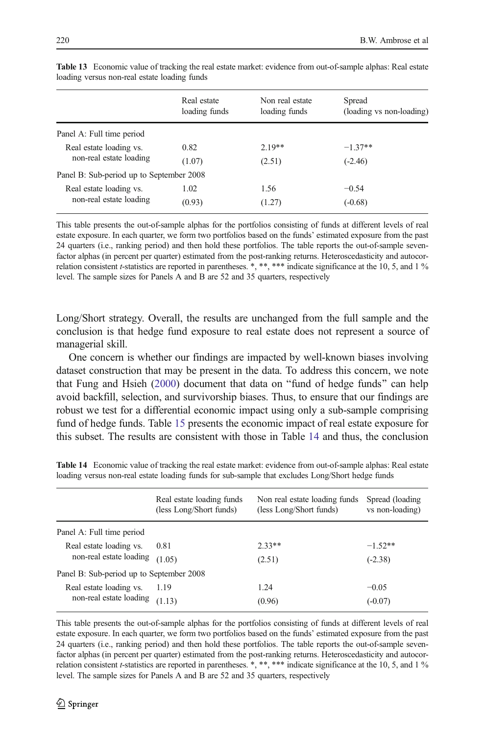|                                          | Real estate<br>loading funds | Non real estate<br>loading funds | Spread<br>(loading vs non-loading) |
|------------------------------------------|------------------------------|----------------------------------|------------------------------------|
| Panel A: Full time period                |                              |                                  |                                    |
| Real estate loading vs.                  | 0.82                         | $2.19**$                         | $-1.37**$                          |
| non-real estate loading                  | (1.07)                       | (2.51)                           | $(-2.46)$                          |
| Panel B: Sub-period up to September 2008 |                              |                                  |                                    |
| Real estate loading vs.                  | 1.02                         | 1.56                             | $-0.54$                            |
| non-real estate loading                  | (0.93)                       | (1.27)                           | $(-0.68)$                          |
|                                          |                              |                                  |                                    |

<span id="page-23-0"></span>Table 13 Economic value of tracking the real estate market: evidence from out-of-sample alphas: Real estate loading versus non-real estate loading funds

This table presents the out-of-sample alphas for the portfolios consisting of funds at different levels of real estate exposure. In each quarter, we form two portfolios based on the funds' estimated exposure from the past 24 quarters (i.e., ranking period) and then hold these portfolios. The table reports the out-of-sample sevenfactor alphas (in percent per quarter) estimated from the post-ranking returns. Heteroscedasticity and autocorrelation consistent *t*-statistics are reported in parentheses. \*, \*\*, \*\*\* indicate significance at the 10, 5, and 1 % level. The sample sizes for Panels A and B are 52 and 35 quarters, respectively

Long/Short strategy. Overall, the results are unchanged from the full sample and the conclusion is that hedge fund exposure to real estate does not represent a source of managerial skill.

One concern is whether our findings are impacted by well-known biases involving dataset construction that may be present in the data. To address this concern, we note that Fung and Hsieh [\(2000\)](#page-28-0) document that data on "fund of hedge funds" can help avoid backfill, selection, and survivorship biases. Thus, to ensure that our findings are robust we test for a differential economic impact using only a sub-sample comprising fund of hedge funds. Table [15](#page-24-0) presents the economic impact of real estate exposure for this subset. The results are consistent with those in Table 14 and thus, the conclusion

|                                                    | Real estate loading funds<br>(less Long/Short funds) | Non real estate loading funds<br>(less Long/Short funds) | Spread (loading)<br>vs non-loading) |
|----------------------------------------------------|------------------------------------------------------|----------------------------------------------------------|-------------------------------------|
| Panel A: Full time period                          |                                                      |                                                          |                                     |
| Real estate loading vs.<br>non-real estate loading | 0.81                                                 | $2.33**$                                                 | $-1.52**$                           |
|                                                    | (1.05)                                               | (2.51)                                                   | $(-2.38)$                           |
| Panel B: Sub-period up to September 2008           |                                                      |                                                          |                                     |
| Real estate loading vs.                            | 1.19                                                 | 1.24                                                     | $-0.05$                             |
| non-real estate loading                            | (1.13)                                               | (0.96)                                                   | $(-0.07)$                           |
|                                                    |                                                      |                                                          |                                     |

Table 14 Economic value of tracking the real estate market: evidence from out-of-sample alphas: Real estate loading versus non-real estate loading funds for sub-sample that excludes Long/Short hedge funds

This table presents the out-of-sample alphas for the portfolios consisting of funds at different levels of real estate exposure. In each quarter, we form two portfolios based on the funds' estimated exposure from the past 24 quarters (i.e., ranking period) and then hold these portfolios. The table reports the out-of-sample sevenfactor alphas (in percent per quarter) estimated from the post-ranking returns. Heteroscedasticity and autocorrelation consistent *t*-statistics are reported in parentheses. \*, \*\*, \*\*\* indicate significance at the 10, 5, and 1 % level. The sample sizes for Panels A and B are 52 and 35 quarters, respectively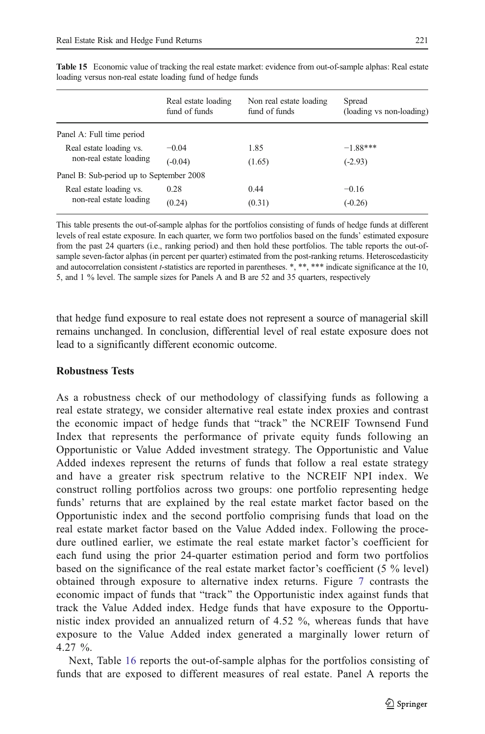|                                          | Real estate loading<br>fund of funds | Non real estate loading<br>fund of funds | Spread<br>(loading vs non-loading) |
|------------------------------------------|--------------------------------------|------------------------------------------|------------------------------------|
| Panel A: Full time period                |                                      |                                          |                                    |
| Real estate loading vs.                  | $-0.04$                              | 1.85                                     | $-1.88***$                         |
| non-real estate loading                  | $(-0.04)$                            | (1.65)                                   | $(-2.93)$                          |
| Panel B: Sub-period up to September 2008 |                                      |                                          |                                    |
| Real estate loading vs.                  | 0.28                                 | 0.44                                     | $-0.16$                            |
| non-real estate loading                  | (0.24)                               | (0.31)                                   | $(-0.26)$                          |

<span id="page-24-0"></span>Table 15 Economic value of tracking the real estate market: evidence from out-of-sample alphas: Real estate loading versus non-real estate loading fund of hedge funds

This table presents the out-of-sample alphas for the portfolios consisting of funds of hedge funds at different levels of real estate exposure. In each quarter, we form two portfolios based on the funds' estimated exposure from the past 24 quarters (i.e., ranking period) and then hold these portfolios. The table reports the out-ofsample seven-factor alphas (in percent per quarter) estimated from the post-ranking returns. Heteroscedasticity and autocorrelation consistent *t*-statistics are reported in parentheses. \*, \*\*, \*\*\* indicate significance at the 10, 5, and 1 % level. The sample sizes for Panels A and B are 52 and 35 quarters, respectively

that hedge fund exposure to real estate does not represent a source of managerial skill remains unchanged. In conclusion, differential level of real estate exposure does not lead to a significantly different economic outcome.

### Robustness Tests

As a robustness check of our methodology of classifying funds as following a real estate strategy, we consider alternative real estate index proxies and contrast the economic impact of hedge funds that "track" the NCREIF Townsend Fund Index that represents the performance of private equity funds following an Opportunistic or Value Added investment strategy. The Opportunistic and Value Added indexes represent the returns of funds that follow a real estate strategy and have a greater risk spectrum relative to the NCREIF NPI index. We construct rolling portfolios across two groups: one portfolio representing hedge funds' returns that are explained by the real estate market factor based on the Opportunistic index and the second portfolio comprising funds that load on the real estate market factor based on the Value Added index. Following the procedure outlined earlier, we estimate the real estate market factor's coefficient for each fund using the prior 24-quarter estimation period and form two portfolios based on the significance of the real estate market factor's coefficient (5 % level) obtained through exposure to alternative index returns. Figure [7](#page-25-0) contrasts the economic impact of funds that "track" the Opportunistic index against funds that track the Value Added index. Hedge funds that have exposure to the Opportunistic index provided an annualized return of 4.52 %, whereas funds that have exposure to the Value Added index generated a marginally lower return of 4.27 %.

Next, Table [16](#page-26-0) reports the out-of-sample alphas for the portfolios consisting of funds that are exposed to different measures of real estate. Panel A reports the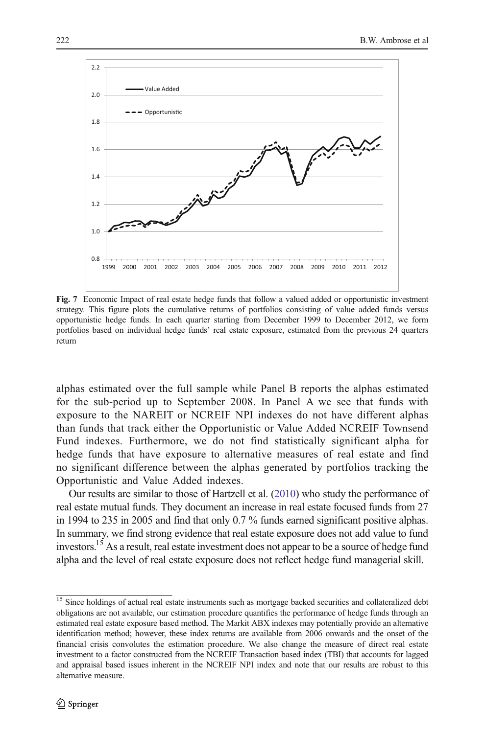<span id="page-25-0"></span>

Fig. 7 Economic Impact of real estate hedge funds that follow a valued added or opportunistic investment strategy. This figure plots the cumulative returns of portfolios consisting of value added funds versus opportunistic hedge funds. In each quarter starting from December 1999 to December 2012, we form portfolios based on individual hedge funds' real estate exposure, estimated from the previous 24 quarters return

alphas estimated over the full sample while Panel B reports the alphas estimated for the sub-period up to September 2008. In Panel A we see that funds with exposure to the NAREIT or NCREIF NPI indexes do not have different alphas than funds that track either the Opportunistic or Value Added NCREIF Townsend Fund indexes. Furthermore, we do not find statistically significant alpha for hedge funds that have exposure to alternative measures of real estate and find no significant difference between the alphas generated by portfolios tracking the Opportunistic and Value Added indexes.

Our results are similar to those of Hartzell et al. ([2010\)](#page-28-0) who study the performance of real estate mutual funds. They document an increase in real estate focused funds from 27 in 1994 to 235 in 2005 and find that only 0.7 % funds earned significant positive alphas. In summary, we find strong evidence that real estate exposure does not add value to fund investors.15 As a result, real estate investment does not appear to be a source of hedge fund alpha and the level of real estate exposure does not reflect hedge fund managerial skill.

<sup>&</sup>lt;sup>15</sup> Since holdings of actual real estate instruments such as mortgage backed securities and collateralized debt obligations are not available, our estimation procedure quantifies the performance of hedge funds through an estimated real estate exposure based method. The Markit ABX indexes may potentially provide an alternative identification method; however, these index returns are available from 2006 onwards and the onset of the financial crisis convolutes the estimation procedure. We also change the measure of direct real estate investment to a factor constructed from the NCREIF Transaction based index (TBI) that accounts for lagged and appraisal based issues inherent in the NCREIF NPI index and note that our results are robust to this alternative measure.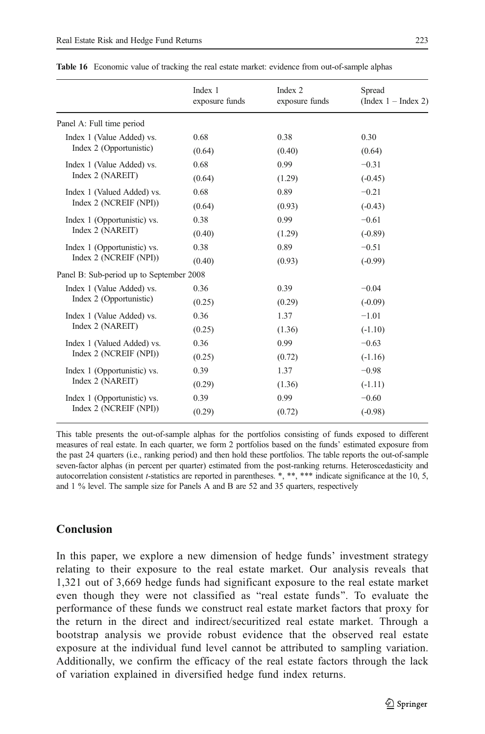|                                          | Index 1<br>exposure funds | Index 2<br>exposure funds | Spread<br>$(Index 1 - Index 2)$ |
|------------------------------------------|---------------------------|---------------------------|---------------------------------|
| Panel A: Full time period                |                           |                           |                                 |
| Index 1 (Value Added) vs.                | 0.68                      | 0.38                      | 0.30                            |
| Index 2 (Opportunistic)                  | (0.64)                    | (0.40)                    | (0.64)                          |
| Index 1 (Value Added) vs.                | 0.68                      | 0.99                      | $-0.31$                         |
| Index 2 (NAREIT)                         | (0.64)                    | (1.29)                    | $(-0.45)$                       |
| Index 1 (Valued Added) vs.               | 0.68                      | 0.89                      | $-0.21$                         |
| Index 2 (NCREIF (NPI))                   | (0.64)                    | (0.93)                    | $(-0.43)$                       |
| Index 1 (Opportunistic) vs.              | 0.38                      | 0.99                      | $-0.61$                         |
| Index 2 (NAREIT)                         | (0.40)                    | (1.29)                    | $(-0.89)$                       |
| Index 1 (Opportunistic) vs.              | 0.38                      | 0.89                      | $-0.51$                         |
| Index 2 (NCREIF (NPI))                   | (0.40)                    | (0.93)                    | $(-0.99)$                       |
| Panel B: Sub-period up to September 2008 |                           |                           |                                 |
| Index 1 (Value Added) vs.                | 0.36                      | 0.39                      | $-0.04$                         |
| Index 2 (Opportunistic)                  | (0.25)                    | (0.29)                    | $(-0.09)$                       |
| Index 1 (Value Added) vs.                | 0.36                      | 1.37                      | $-1.01$                         |
| Index 2 (NAREIT)                         | (0.25)                    | (1.36)                    | $(-1.10)$                       |
| Index 1 (Valued Added) vs.               | 0.36                      | 0.99                      | $-0.63$                         |
| Index 2 (NCREIF (NPI))                   | (0.25)                    | (0.72)                    | $(-1.16)$                       |
|                                          |                           |                           |                                 |

<span id="page-26-0"></span>Table 16 Economic value of tracking the real estate market: evidence from out-of-sample alphas

This table presents the out-of-sample alphas for the portfolios consisting of funds exposed to different measures of real estate. In each quarter, we form 2 portfolios based on the funds' estimated exposure from the past 24 quarters (i.e., ranking period) and then hold these portfolios. The table reports the out-of-sample seven-factor alphas (in percent per quarter) estimated from the post-ranking returns. Heteroscedasticity and autocorrelation consistent *t*-statistics are reported in parentheses. \*, \*\*, \*\*\* indicate significance at the 10, 5, and 1 % level. The sample size for Panels A and B are 52 and 35 quarters, respectively

0.39 1.37 −0.98  $(0.29)$   $(1.36)$   $(-1.11)$ 

 $0.39$   $-0.60$  $(0.29)$   $(0.72)$   $(-0.98)$ 

# **Conclusion**

Index 1 (Opportunistic) vs. Index 2 (NAREIT)

Index 1 (Opportunistic) vs. Index 2 (NCREIF (NPI))

In this paper, we explore a new dimension of hedge funds' investment strategy relating to their exposure to the real estate market. Our analysis reveals that 1,321 out of 3,669 hedge funds had significant exposure to the real estate market even though they were not classified as "real estate funds". To evaluate the performance of these funds we construct real estate market factors that proxy for the return in the direct and indirect/securitized real estate market. Through a bootstrap analysis we provide robust evidence that the observed real estate exposure at the individual fund level cannot be attributed to sampling variation. Additionally, we confirm the efficacy of the real estate factors through the lack of variation explained in diversified hedge fund index returns.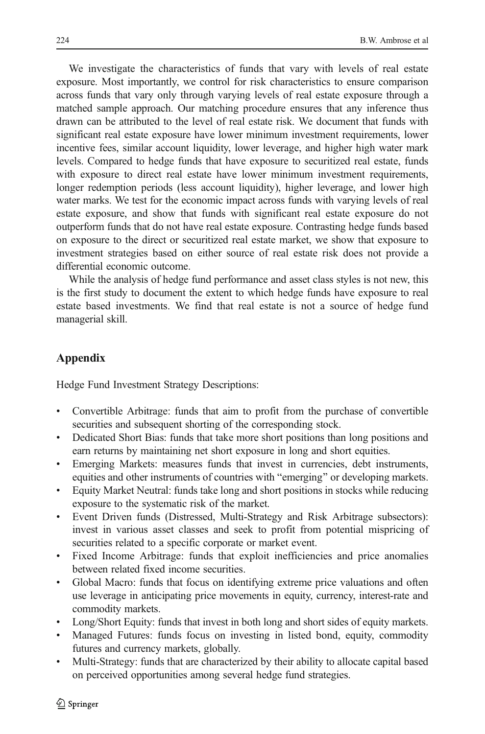We investigate the characteristics of funds that vary with levels of real estate exposure. Most importantly, we control for risk characteristics to ensure comparison across funds that vary only through varying levels of real estate exposure through a matched sample approach. Our matching procedure ensures that any inference thus drawn can be attributed to the level of real estate risk. We document that funds with significant real estate exposure have lower minimum investment requirements, lower incentive fees, similar account liquidity, lower leverage, and higher high water mark levels. Compared to hedge funds that have exposure to securitized real estate, funds with exposure to direct real estate have lower minimum investment requirements, longer redemption periods (less account liquidity), higher leverage, and lower high water marks. We test for the economic impact across funds with varying levels of real estate exposure, and show that funds with significant real estate exposure do not outperform funds that do not have real estate exposure. Contrasting hedge funds based on exposure to the direct or securitized real estate market, we show that exposure to investment strategies based on either source of real estate risk does not provide a differential economic outcome.

While the analysis of hedge fund performance and asset class styles is not new, this is the first study to document the extent to which hedge funds have exposure to real estate based investments. We find that real estate is not a source of hedge fund managerial skill.

# Appendix

Hedge Fund Investment Strategy Descriptions:

- & Convertible Arbitrage: funds that aim to profit from the purchase of convertible securities and subsequent shorting of the corresponding stock.
- Dedicated Short Bias: funds that take more short positions than long positions and earn returns by maintaining net short exposure in long and short equities.
- & Emerging Markets: measures funds that invest in currencies, debt instruments, equities and other instruments of countries with "emerging" or developing markets.
- & Equity Market Neutral: funds take long and short positions in stocks while reducing exposure to the systematic risk of the market.
- & Event Driven funds (Distressed, Multi-Strategy and Risk Arbitrage subsectors): invest in various asset classes and seek to profit from potential mispricing of securities related to a specific corporate or market event.
- & Fixed Income Arbitrage: funds that exploit inefficiencies and price anomalies between related fixed income securities.
- & Global Macro: funds that focus on identifying extreme price valuations and often use leverage in anticipating price movements in equity, currency, interest-rate and commodity markets.
- Long/Short Equity: funds that invest in both long and short sides of equity markets.
- & Managed Futures: funds focus on investing in listed bond, equity, commodity futures and currency markets, globally.
- Multi-Strategy: funds that are characterized by their ability to allocate capital based on perceived opportunities among several hedge fund strategies.